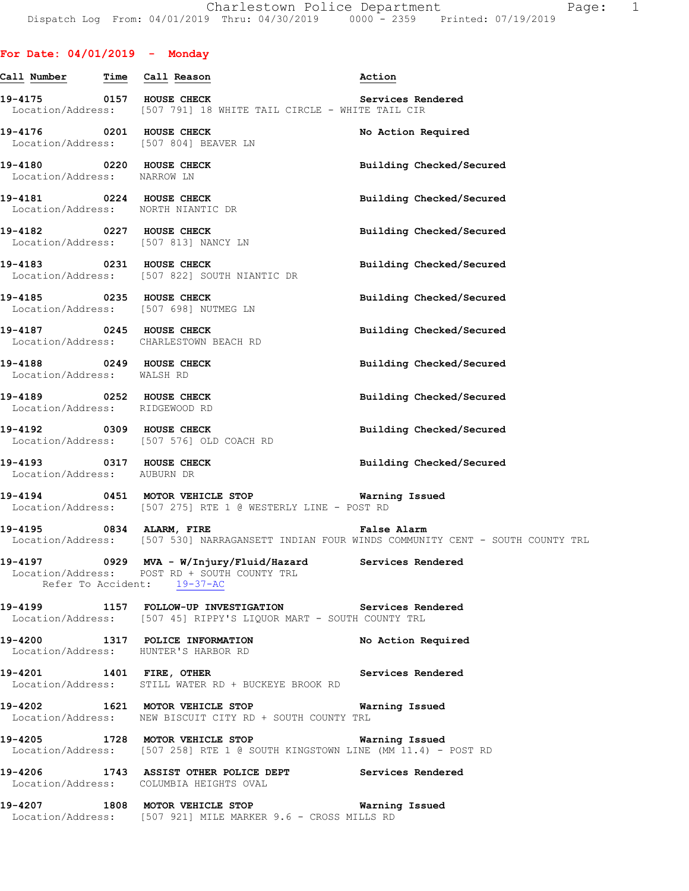## **For Date: 04/01/2019 - Monday**

| Call Number Time Call Reason                            |                                                                                                                                   | Action                                                                                       |
|---------------------------------------------------------|-----------------------------------------------------------------------------------------------------------------------------------|----------------------------------------------------------------------------------------------|
|                                                         | 19-4175 		 0157 HOUSE CHECK 		 Services Rendered<br>Location/Address: [507 791] 18 WHITE TAIL CIRCLE - WHITE TAIL CIR             |                                                                                              |
|                                                         | 19-4176 0201 HOUSE CHECK<br>Location/Address: [507 804] BEAVER LN                                                                 | No Action Required                                                                           |
| 19-4180 0220 HOUSE CHECK<br>Location/Address: NARROW LN |                                                                                                                                   | Building Checked/Secured                                                                     |
|                                                         | 19-4181 0224 HOUSE CHECK<br>Location/Address: NORTH NIANTIC DR                                                                    | Building Checked/Secured                                                                     |
|                                                         | 19-4182 0227 HOUSE CHECK<br>Location/Address: [507 813] NANCY LN                                                                  | Building Checked/Secured                                                                     |
| 19-4183 0231 HOUSE CHECK                                | Location/Address: [507 822] SOUTH NIANTIC DR                                                                                      | Building Checked/Secured                                                                     |
|                                                         | 19-4185 0235 HOUSE CHECK<br>Location/Address: [507 698] NUTMEG LN                                                                 | Building Checked/Secured                                                                     |
| 19-4187 0245 HOUSE CHECK                                | Location/Address: CHARLESTOWN BEACH RD                                                                                            | Building Checked/Secured                                                                     |
| 19-4188 0249 HOUSE CHECK<br>Location/Address: WALSH RD  |                                                                                                                                   | Building Checked/Secured                                                                     |
| Location/Address: RIDGEWOOD RD                          | 19-4189 0252 HOUSE CHECK                                                                                                          | Building Checked/Secured                                                                     |
|                                                         | 19-4192 0309 HOUSE CHECK<br>Location/Address: [507 576] OLD COACH RD                                                              | Building Checked/Secured                                                                     |
| 19-4193 0317 HOUSE CHECK<br>Location/Address: AUBURN DR |                                                                                                                                   | Building Checked/Secured                                                                     |
|                                                         | 19-4194  0451 MOTOR VEHICLE STOP    Varning Issued<br>Location/Address: [507 275] RTE 1 @ WESTERLY LINE - POST RD                 |                                                                                              |
|                                                         | 19-4195 0834 ALARM, FIRE <b>Southern False Alarm</b>                                                                              | Location/Address: [507 530] NARRAGANSETT INDIAN FOUR WINDS COMMUNITY CENT - SOUTH COUNTY TRL |
| 19-4197                                                 | 0929 MVA - W/Injury/Fluid/Hazard Services Rendered<br>Location/Address: POST RD + SOUTH COUNTY TRL<br>Refer To Accident: 19-37-AC |                                                                                              |
|                                                         | 19-4199 1157 FOLLOW-UP INVESTIGATION Services Rendered<br>Location/Address: [507 45] RIPPY'S LIQUOR MART - SOUTH COUNTY TRL       |                                                                                              |
|                                                         | 19-4200 1317 POLICE INFORMATION No Action Required<br>Location/Address: HUNTER'S HARBOR RD                                        |                                                                                              |
|                                                         | 19-4201 1401 FIRE, OTHER Services Rendered<br>Location/Address: STILL WATER RD + BUCKEYE BROOK RD                                 |                                                                                              |
|                                                         | 19-4202 1621 MOTOR VEHICLE STOP Warning Issued<br>Location/Address: NEW BISCUIT CITY RD + SOUTH COUNTY TRL                        |                                                                                              |
|                                                         | 19-4205 1728 MOTOR VEHICLE STOP <b>Warning Issued</b>                                                                             | Location/Address: [507 258] RTE 1 @ SOUTH KINGSTOWN LINE (MM 11.4) - POST RD                 |
|                                                         | 19-4206 1743 ASSIST OTHER POLICE DEPT Services Rendered<br>Location/Address: COLUMBIA HEIGHTS OVAL                                |                                                                                              |
|                                                         | 19-4207 1808 MOTOR VEHICLE STOP 6 Warning Issued<br>Location/Address: [507 921] MILE MARKER 9.6 - CROSS MILLS RD                  |                                                                                              |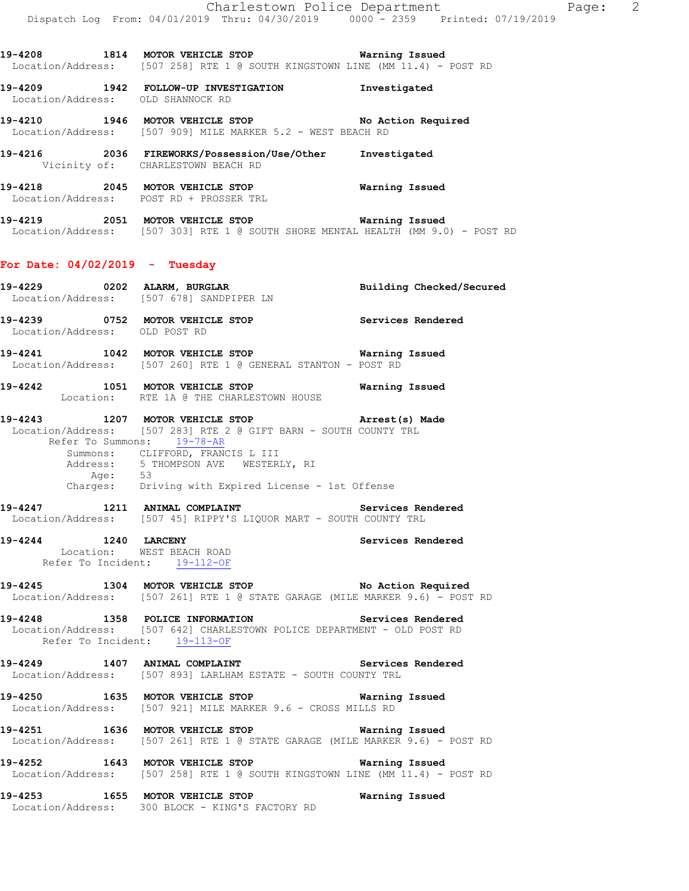**19-4208 1814 MOTOR VEHICLE STOP Warning Issued**  Location/Address: [507 258] RTE 1 @ SOUTH KINGSTOWN LINE (MM 11.4) - POST RD

**19-4209 1942 FOLLOW-UP INVESTIGATION Investigated**  Location/Address: OLD SHANNOCK RD

**19-4210 1946 MOTOR VEHICLE STOP No Action Required**  Location/Address: [507 909] MILE MARKER 5.2 - WEST BEACH RD

**19-4216 2036 FIREWORKS/Possession/Use/Other Investigated**  Vicinity of: CHARLESTOWN BEACH RD

**19-4218 2045 MOTOR VEHICLE STOP Warning Issued**  Location/Address: POST RD + PROSSER TRL

**19-4219 2051 MOTOR VEHICLE STOP Warning Issued**  Location/Address: [507 303] RTE 1 @ SOUTH SHORE MENTAL HEALTH (MM 9.0) - POST RD

### **For Date: 04/02/2019 - Tuesday**

|                               | Location/Address: [507 678] SANDPIPER LN                                                                                                                                                                                                                                                              |                   |
|-------------------------------|-------------------------------------------------------------------------------------------------------------------------------------------------------------------------------------------------------------------------------------------------------------------------------------------------------|-------------------|
| Location/Address: OLD POST RD | 19-4239 0752 MOTOR VEHICLE STOP Services Rendered                                                                                                                                                                                                                                                     |                   |
| 19-4241                       | 1042 MOTOR VEHICLE STOP 6 Warning Issued<br>Location/Address: [507 260] RTE 1 @ GENERAL STANTON - POST RD                                                                                                                                                                                             |                   |
|                               | 19-4242 1051 MOTOR VEHICLE STOP 6 Warning Issued<br>Location: RTE 1A @ THE CHARLESTOWN HOUSE                                                                                                                                                                                                          |                   |
|                               | 19-4243 1207 MOTOR VEHICLE STOP <b>Arrest(s)</b> Made<br>Location/Address: [507 283] RTE 2 @ GIFT BARN - SOUTH COUNTY TRL<br>Refer To Summons: 19-78-AR<br>Summons: CLIFFORD, FRANCIS L III<br>Address: 5 THOMPSON AVE WESTERLY, RI<br>Age: 53<br>Charges: Driving with Expired License - 1st Offense |                   |
|                               | 19-4247 1211 ANIMAL COMPLAINT<br>Location/Address: [507 45] RIPPY'S LIQUOR MART - SOUTH COUNTY TRL                                                                                                                                                                                                    | Services Rendered |
| 19-4244                       | Location: WEST BEACH ROAD<br>Refer mo Incident WEST BEACH ROAD<br>Refer To Incident: $19-112-OF$                                                                                                                                                                                                      |                   |
|                               | 19-4245 1304 MOTOR VEHICLE STOP No Action Required<br>Location/Address: [507 261] RTE 1 @ STATE GARAGE (MILE MARKER 9.6) - POST RD                                                                                                                                                                    |                   |
|                               | 19-4248 1358 POLICE INFORMATION Services Rendered<br>Location/Address: [507 642] CHARLESTOWN POLICE DEPARTMENT - OLD POST RD<br>Refer To Incident: 19-113-OF                                                                                                                                          |                   |
|                               | 19-4249 1407 ANIMAL COMPLAINT<br>Location/Address: [507 893] LARLHAM ESTATE - SOUTH COUNTY TRL                                                                                                                                                                                                        | Services Rendered |
|                               | 19-4250 1635 MOTOR VEHICLE STOP 6 Warning Issued<br>Location/Address: [507 921] MILE MARKER 9.6 - CROSS MILLS RD                                                                                                                                                                                      |                   |
|                               | 19-4251 1636 MOTOR VEHICLE STOP <b>Warning Issued</b><br>Location/Address: [507 261] RTE 1 @ STATE GARAGE (MILE MARKER 9.6) - POST RD                                                                                                                                                                 |                   |
|                               | 19-4252 1643 MOTOR VEHICLE STOP<br>Location/Address: [507 258] RTE 1 @ SOUTH KINGSTOWN LINE (MM 11.4) - POST RD                                                                                                                                                                                       | Warning Issued    |
|                               | 19-4253 1655 MOTOR VEHICLE STOP 6 Warning Issued<br>Location/Address: 300 BLOCK - KING'S FACTORY RD                                                                                                                                                                                                   |                   |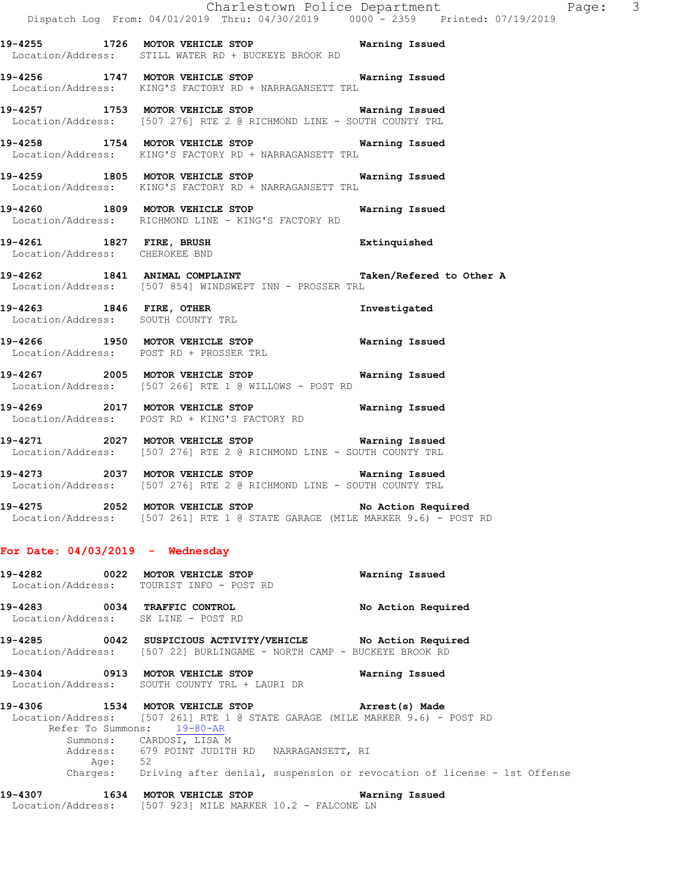|                                     |                                                                                                                                                               | Charlestown Police Department<br>Page: 3<br>Dispatch Log From: 04/01/2019 Thru: 04/30/2019 0000 - 2359 Printed: 07/19/2019 |  |
|-------------------------------------|---------------------------------------------------------------------------------------------------------------------------------------------------------------|----------------------------------------------------------------------------------------------------------------------------|--|
|                                     | 19-4255 1726 MOTOR VEHICLE STOP 6 Warning Issued<br>Location/Address: STILL WATER RD + BUCKEYE BROOK RD                                                       |                                                                                                                            |  |
|                                     | 19-4256 1747 MOTOR VEHICLE STOP <b>Warning Issued</b><br>Location/Address: KING'S FACTORY RD + NARRAGANSETT TRL                                               |                                                                                                                            |  |
|                                     | 19-4257 1753 MOTOR VEHICLE STOP 6 Warning Issued<br>Location/Address: [507 276] RTE 2 @ RICHMOND LINE - SOUTH COUNTY TRL                                      |                                                                                                                            |  |
|                                     | 19-4258 1754 MOTOR VEHICLE STOP 6 Warning Issued<br>Location/Address: KING'S FACTORY RD + NARRAGANSETT TRL                                                    |                                                                                                                            |  |
|                                     | 19-4259 1805 MOTOR VEHICLE STOP 6 Warning Issued<br>Location/Address: KING'S FACTORY RD + NARRAGANSETT TRL                                                    |                                                                                                                            |  |
|                                     | 19-4260 1809 MOTOR VEHICLE STOP <b>WATER WATER</b><br>Location/Address: RICHMOND LINE - KING'S FACTORY RD                                                     |                                                                                                                            |  |
|                                     | 19-4261 1827 FIRE, BRUSH Extinquished<br>Location/Address: CHEROKEE BND                                                                                       |                                                                                                                            |  |
|                                     | 19-4262 1841 ANIMAL COMPLAINT Taken/Refered to Other A<br>Location/Address: [507 854] WINDSWEPT INN - PROSSER TRL                                             |                                                                                                                            |  |
|                                     | 19-4263 1846 FIRE, OTHER<br>Location/Address: SOUTH COUNTY TRL                                                                                                | Investigated                                                                                                               |  |
|                                     | 19-4266 1950 MOTOR VEHICLE STOP <b>WATER</b> Warning Issued<br>Location/Address: POST RD + PROSSER TRL                                                        |                                                                                                                            |  |
|                                     | 19-4267 2005 MOTOR VEHICLE STOP<br>Location/Address: [507 266] RTE 1 @ WILLOWS - POST RD                                                                      | Warning Issued                                                                                                             |  |
|                                     | 19-4269 2017 MOTOR VEHICLE STOP <b>WATER WATER</b><br>Location/Address: POST RD + KING'S FACTORY RD                                                           |                                                                                                                            |  |
|                                     | 19-4271 2027 MOTOR VEHICLE STOP <b>WATER WATER</b><br>Location/Address: [507 276] RTE 2 @ RICHMOND LINE - SOUTH COUNTY TRL                                    |                                                                                                                            |  |
|                                     | 19-4273 2037 MOTOR VEHICLE STOP <b>WATER</b> Warning Issued<br>Location/Address: [507 276] RTE 2 @ RICHMOND LINE - SOUTH COUNTY TRL                           |                                                                                                                            |  |
|                                     | 19-4275 2052 MOTOR VEHICLE STOP No Action Required<br>Location/Address: [507 261] RTE 1 @ STATE GARAGE (MILE MARKER 9.6) - POST RD                            |                                                                                                                            |  |
| For Date: $04/03/2019$ - Wednesday  |                                                                                                                                                               |                                                                                                                            |  |
|                                     | 19-4282 0022 MOTOR VEHICLE STOP<br>Location/Address: TOURIST INFO - POST RD                                                                                   | Warning Issued                                                                                                             |  |
| Location/Address: SK LINE - POST RD | 19-4283 0034 TRAFFIC CONTROL                                                                                                                                  | No Action Required                                                                                                         |  |
|                                     | 19-4285 0042 SUSPICIOUS ACTIVITY/VEHICLE No Action Required<br>Location/Address: [507 22] BURLINGAME - NORTH CAMP - BUCKEYE BROOK RD                          |                                                                                                                            |  |
|                                     | 19-4304 0913 MOTOR VEHICLE STOP<br>Location/Address: SOUTH COUNTY TRL + LAURI DR                                                                              | Warning Issued                                                                                                             |  |
|                                     | 19-4306 1534 MOTOR VEHICLE STOP (Arrest(s) Made<br>Location/Address: [507 261] RTE 1 @ STATE GARAGE (MILE MARKER 9.6) - POST RD<br>Refer To Summons: 19-80-AR |                                                                                                                            |  |
| Age: 52                             | Summons: CARDOSI, LISA M<br>Address: 679 POINT JUDITH RD NARRAGANSETT, RI                                                                                     |                                                                                                                            |  |
|                                     |                                                                                                                                                               | Charges: Driving after denial, suspension or revocation of license - 1st Offense                                           |  |
|                                     | 19-4307 1634 MOTOR VEHICLE STOP<br>Location/Address: [507 923] MILE MARKER 10.2 - FALCONE LN                                                                  | Warning Issued                                                                                                             |  |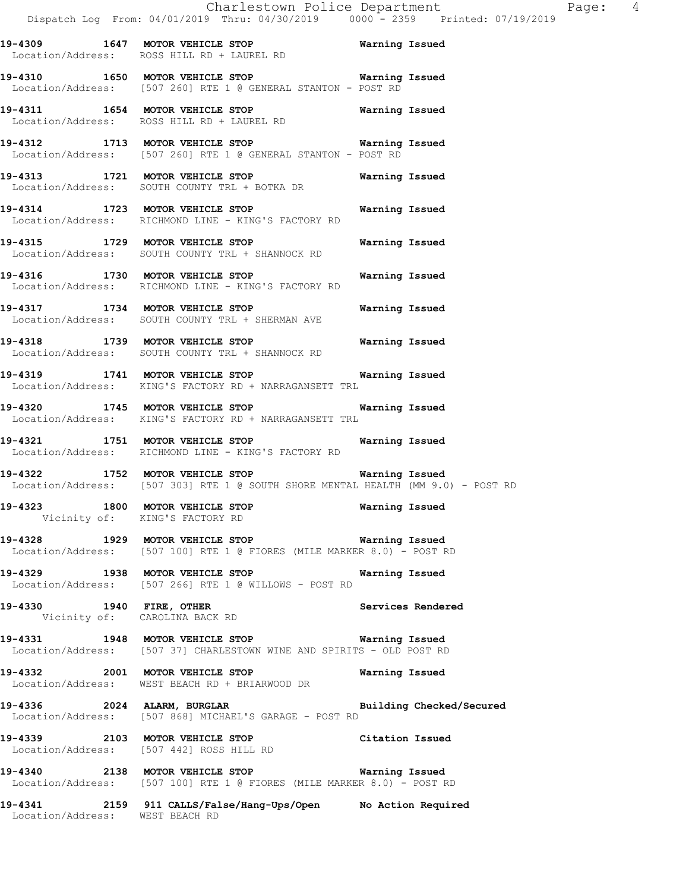**19-4309 1647 MOTOR VEHICLE STOP Warning Issued**  Location/Address: ROSS HILL RD + LAUREL RD

**19-4310 1650 MOTOR VEHICLE STOP Warning Issued**  Location/Address: [507 260] RTE 1 @ GENERAL STANTON - POST RD

**19-4311 1654 MOTOR VEHICLE STOP Warning Issued**  Location/Address: ROSS HILL RD + LAUREL RD

**19-4312 1713 MOTOR VEHICLE STOP Warning Issued**  Location/Address: [507 260] RTE 1 @ GENERAL STANTON - POST RD

**19-4313 1721 MOTOR VEHICLE STOP Warning Issued**  Location/Address: SOUTH COUNTY TRL + BOTKA DR

**19-4314 1723 MOTOR VEHICLE STOP Warning Issued**  Location/Address: RICHMOND LINE - KING'S FACTORY RD

**19-4315 1729 MOTOR VEHICLE STOP Warning Issued**  Location/Address: SOUTH COUNTY TRL + SHANNOCK RD

**19-4316 1730 MOTOR VEHICLE STOP Warning Issued**  Location/Address: RICHMOND LINE - KING'S FACTORY RD

**19-4317 1734 MOTOR VEHICLE STOP Warning Issued**  Location/Address: SOUTH COUNTY TRL + SHERMAN AVE

**19-4318 1739 MOTOR VEHICLE STOP Warning Issued**  Location/Address: SOUTH COUNTY TRL + SHANNOCK RD

**19-4319 1741 MOTOR VEHICLE STOP Warning Issued**  Location/Address: KING'S FACTORY RD + NARRAGANSETT TRL

**19-4320 1745 MOTOR VEHICLE STOP Warning Issued**  KING'S FACTORY RD + NARRAGANSETT TRL

**19-4321 1751 MOTOR VEHICLE STOP Warning Issued**  Location/Address: RICHMOND LINE - KING'S FACTORY RD

**19-4322 1752 MOTOR VEHICLE STOP Warning Issued**  Location/Address: [507 303] RTE 1 @ SOUTH SHORE MENTAL HEALTH (MM 9.0) - POST RD

**19-4323 1800 MOTOR VEHICLE STOP Warning Issued**  Vicinity of: KING'S FACTORY RD

**19-4328 1929 MOTOR VEHICLE STOP Warning Issued**  Location/Address: [507 100] RTE 1 @ FIORES (MILE MARKER 8.0) - POST RD

**19-4329 1938 MOTOR VEHICLE STOP Warning Issued**  Location/Address: [507 266] RTE 1 @ WILLOWS - POST RD

**19-4330 1940 FIRE, OTHER Services Rendered**  Vicinity of: CAROLINA BACK RD

**19-4331 1948 MOTOR VEHICLE STOP Warning Issued**  Location/Address: [507 37] CHARLESTOWN WINE AND SPIRITS - OLD POST RD

**19-4332 2001 MOTOR VEHICLE STOP Warning Issued**  Location/Address: WEST BEACH RD + BRIARWOOD DR

**19-4336 2024 ALARM, BURGLAR Building Checked/Secured**  Location/Address: [507 868] MICHAEL'S GARAGE - POST RD

**19-4339 2103 MOTOR VEHICLE STOP Citation Issued**  Location/Address: [507 442] ROSS HILL RD

**19-4340 2138 MOTOR VEHICLE STOP Warning Issued**  Location/Address: [507 100] RTE 1 @ FIORES (MILE MARKER 8.0) - POST RD

**19-4341 2159 911 CALLS/False/Hang-Ups/Open No Action Required**  Location/Address: WEST BEACH RD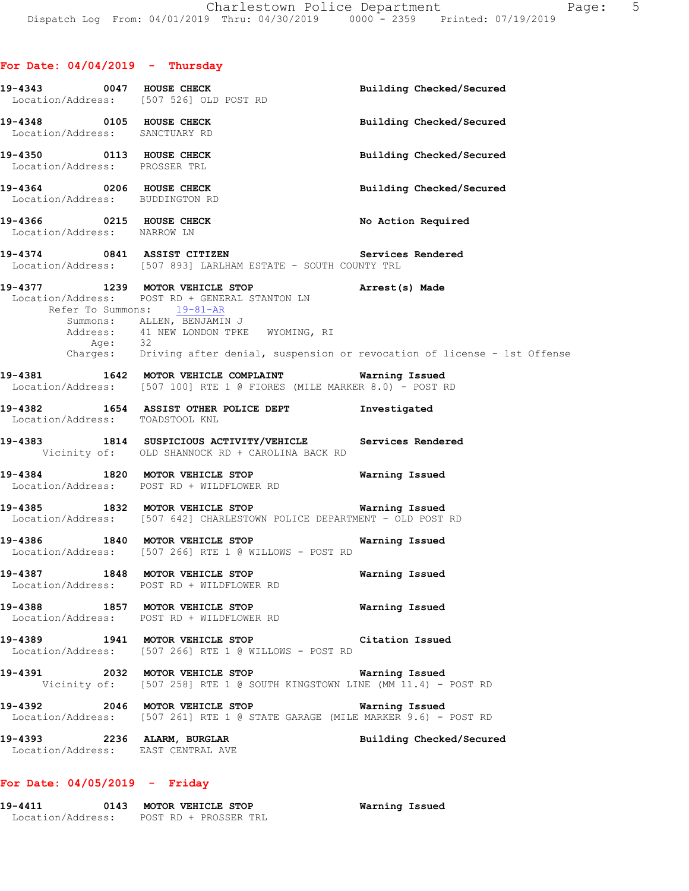|                                                             | 19-4343 0047 HOUSE CHECK<br>Location/Address: [507 526] OLD POST RD                                                                                                                                                                                                              | Building Checked/Secured |
|-------------------------------------------------------------|----------------------------------------------------------------------------------------------------------------------------------------------------------------------------------------------------------------------------------------------------------------------------------|--------------------------|
| 19-4348 0105 HOUSE CHECK<br>Location/Address: SANCTUARY RD  |                                                                                                                                                                                                                                                                                  | Building Checked/Secured |
| 19-4350 0113 HOUSE CHECK<br>Location/Address: PROSSER TRL   |                                                                                                                                                                                                                                                                                  | Building Checked/Secured |
| 19-4364 0206 HOUSE CHECK<br>Location/Address: BUDDINGTON RD |                                                                                                                                                                                                                                                                                  | Building Checked/Secured |
| 19-4366 0215 HOUSE CHECK<br>Location/Address: NARROW LN     |                                                                                                                                                                                                                                                                                  | No Action Required       |
|                                                             | 19-4374 0841 ASSIST CITIZEN<br>Location/Address: [507 893] LARLHAM ESTATE - SOUTH COUNTY TRL                                                                                                                                                                                     | Services Rendered        |
| Refer To Summons: 19-81-AR                                  | 19-4377 1239 MOTOR VEHICLE STOP <b>Arrest</b> (s) Made<br>Location/Address: POST RD + GENERAL STANTON LN<br>Summons: ALLEN, BENJAMIN J<br>Address: 41 NEW LONDON TPKE WYOMING, RI<br>Age: 32<br>Charges: Driving after denial, suspension or revocation of license - 1st Offense |                          |
|                                                             | 19-4381 1642 MOTOR VEHICLE COMPLAINT <b>Warning Issued</b>                                                                                                                                                                                                                       |                          |
|                                                             | Location/Address: [507 100] RTE 1 @ FIORES (MILE MARKER 8.0) - POST RD                                                                                                                                                                                                           |                          |
| Location/Address: TOADSTOOL KNL                             | 19-4382 1654 ASSIST OTHER POLICE DEPT 1nvestigated                                                                                                                                                                                                                               |                          |
|                                                             | 19-4383 1814 SUSPICIOUS ACTIVITY/VEHICLE Services Rendered<br>Vicinity of: OLD SHANNOCK RD + CAROLINA BACK RD                                                                                                                                                                    |                          |
|                                                             | 19-4384 1820 MOTOR VEHICLE STOP Warning Issued<br>Location/Address: POST RD + WILDFLOWER RD                                                                                                                                                                                      |                          |
|                                                             | 19-4385 1832 MOTOR VEHICLE STOP Warning Issued<br>Location/Address: [507 642] CHARLESTOWN POLICE DEPARTMENT - OLD POST RD                                                                                                                                                        |                          |
|                                                             | 19-4386 1840 MOTOR VEHICLE STOP Warning Issued<br>Location/Address: [507 266] RTE 1 @ WILLOWS - POST RD                                                                                                                                                                          |                          |
| 19-4387 1848 MOTOR VEHICLE STOP                             | Location/Address: POST RD + WILDFLOWER RD                                                                                                                                                                                                                                        | Warning Issued           |
|                                                             | 19-4388 1857 MOTOR VEHICLE STOP<br>Location/Address: POST RD + WILDFLOWER RD                                                                                                                                                                                                     | Warning Issued           |
|                                                             | 19-4389 1941 MOTOR VEHICLE STOP<br>Location/Address: [507 266] RTE 1 @ WILLOWS - POST RD                                                                                                                                                                                         | Citation Issued          |
|                                                             | 19-4391 2032 MOTOR VEHICLE STOP <b>WARELL</b> Warning Issued<br>Vicinity of: [507 258] RTE 1 @ SOUTH KINGSTOWN LINE (MM 11.4) - POST RD                                                                                                                                          |                          |
|                                                             | 19-4392 2046 MOTOR VEHICLE STOP <b>Warning Issued</b><br>Location/Address: [507 261] RTE 1 @ STATE GARAGE (MILE MARKER 9.6) - POST RD                                                                                                                                            |                          |
|                                                             |                                                                                                                                                                                                                                                                                  |                          |

### **For Date: 04/05/2019 - Friday**

| 19-4411           | 0143 | MOTOR VEHICLE STOP    | Warning Issued |
|-------------------|------|-----------------------|----------------|
| Location/Address: |      | POST RD + PROSSER TRL |                |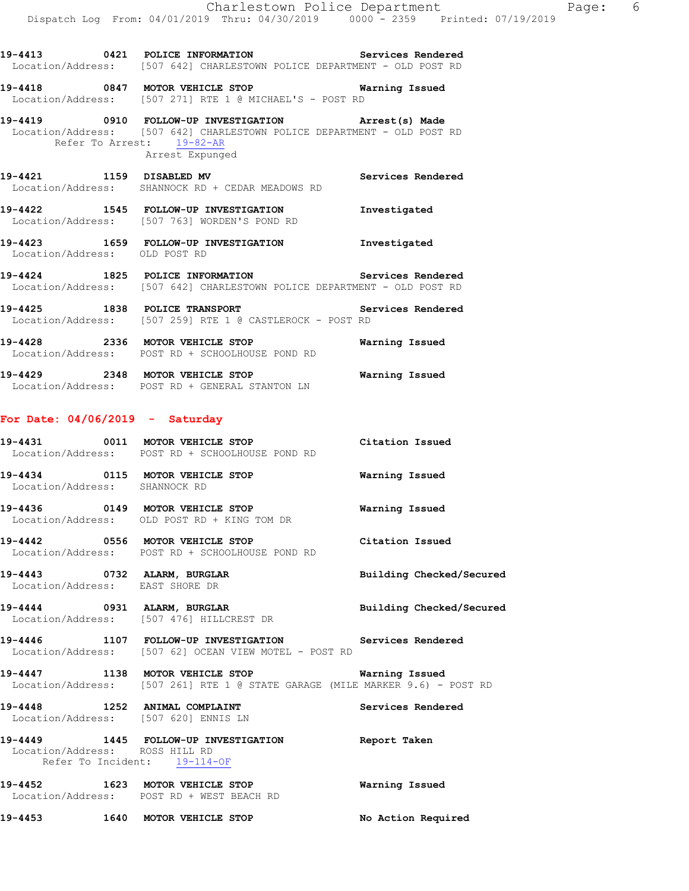**19-4413 0421 POLICE INFORMATION Services Rendered**  Location/Address: [507 642] CHARLESTOWN POLICE DEPARTMENT - OLD POST RD

**19-4418 0847 MOTOR VEHICLE STOP Warning Issued**  Location/Address: [507 271] RTE 1 @ MICHAEL'S - POST RD

**19-4419 0910 FOLLOW-UP INVESTIGATION Arrest(s) Made**  Location/Address: [507 642] CHARLESTOWN POLICE DEPARTMENT - OLD POST RD Refer To Arrest: 19-82-AR Arrest Expunged

**19-4421 1159 DISABLED MV Services Rendered**  Location/Address: SHANNOCK RD + CEDAR MEADOWS RD

**19-4422 1545 FOLLOW-UP INVESTIGATION Investigated**  Location/Address: [507 763] WORDEN'S POND RD

**19-4423 1659 FOLLOW-UP INVESTIGATION Investigated**  Location/Address: OLD POST RD

**19-4424 1825 POLICE INFORMATION Services Rendered**  Location/Address: [507 642] CHARLESTOWN POLICE DEPARTMENT - OLD POST RD

**19-4425 1838 POLICE TRANSPORT Services Rendered**  Location/Address: [507 259] RTE 1 @ CASTLEROCK - POST RD

**19-4428 2336 MOTOR VEHICLE STOP Warning Issued**  Location/Address: POST RD + SCHOOLHOUSE POND RD

**19-4429 2348 MOTOR VEHICLE STOP Warning Issued**  Location/Address: POST RD + GENERAL STANTON LN

### **For Date: 04/06/2019 - Saturday**

| 19-4431 | 0011 | MOTOR VEHICLE STOP<br>Location/Address: POST RD + SCHOOLHOUSE POND RD | Citation Issued |
|---------|------|-----------------------------------------------------------------------|-----------------|
| 19-4434 | 0115 | MOTOR VEHICLE STOP<br>Location/Address: SHANNOCK RD                   | Warning Issued  |
| 19-4436 | 0149 | MOTOR VEHICLE STOP<br>Location/Address: OLD POST RD + KING TOM DR     | Warning Issued  |

**19-4442 0556 MOTOR VEHICLE STOP Citation Issued**  Location/Address: POST RD + SCHOOLHOUSE POND RD

**19-4443 0732 ALARM, BURGLAR Building Checked/Secured**  Location/Address: EAST SHORE DR

**19-4444 0931 ALARM, BURGLAR Building Checked/Secured**  Location/Address: [507 476] HILLCREST DR

**19-4446 1107 FOLLOW-UP INVESTIGATION Services Rendered**  Location/Address: [507 62] OCEAN VIEW MOTEL - POST RD

**19-4447 1138 MOTOR VEHICLE STOP Warning Issued**  Location/Address: [507 261] RTE 1 @ STATE GARAGE (MILE MARKER 9.6) - POST RD

19-4448 **1252 ANIMAL COMPLAINT 19-4448** Services Rendered Location/Address: [507 620] ENNIS LN

**19-4449 1445 FOLLOW-UP INVESTIGATION Report Taken**  Location/Address: ROSS HILL RD Refer To Incident: 19-114-OF

**19-4452 1623 MOTOR VEHICLE STOP Warning Issued**  Location/Address: POST RD + WEST BEACH RD

**19-4453 1640 MOTOR VEHICLE STOP No Action Required**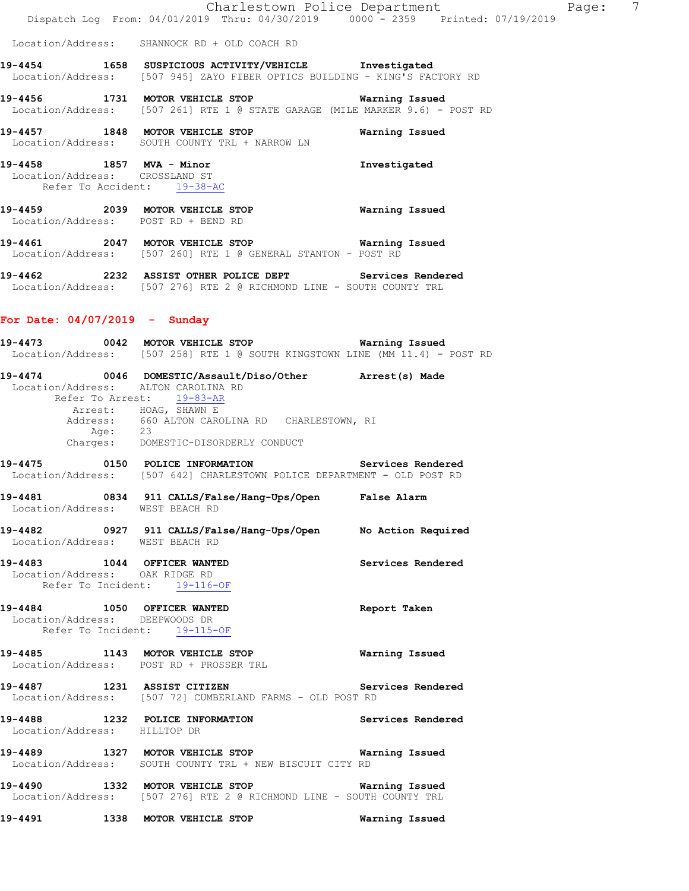| Dispatch Log From: 04/01/2019 Thru: 04/30/2019 0000 - 2359 Printed: 07/19/2019<br>Location/Address: SHANNOCK RD + OLD COACH RD<br>Warning Issued<br>Investigated<br>Location/Address: CROSSLAND ST<br>Refer To Accident: 19-38-AC<br>Warning Issued                                                                                                                                                                                                                                                                                                                                          |  | Charlestown Police Department |  |  |
|----------------------------------------------------------------------------------------------------------------------------------------------------------------------------------------------------------------------------------------------------------------------------------------------------------------------------------------------------------------------------------------------------------------------------------------------------------------------------------------------------------------------------------------------------------------------------------------------|--|-------------------------------|--|--|
| 19-4454 1658 SUSPICIOUS ACTIVITY/VEHICLE Investigated<br>Location/Address: [507 945] ZAYO FIBER OPTICS BUILDING - KING'S FACTORY RD<br>19-4456 1731 MOTOR VEHICLE STOP<br>Location/Address: [507 261] RTE 1 @ STATE GARAGE (MILE MARKER 9.6) - POST RD<br>19-4457 1848 MOTOR VEHICLE STOP <b>Warning Issued</b><br>Location/Address: SOUTH COUNTY TRL + NARROW LN<br>19-4458 1857 MVA - Minor<br>19-4459 2039 MOTOR VEHICLE STOP<br>Location/Address: POST RD + BEND RD<br>19-4461 2047 MOTOR VEHICLE STOP 6 Warning Issued<br>Location/Address: [507 260] RTE 1 @ GENERAL STANTON - POST RD |  |                               |  |  |
|                                                                                                                                                                                                                                                                                                                                                                                                                                                                                                                                                                                              |  |                               |  |  |
|                                                                                                                                                                                                                                                                                                                                                                                                                                                                                                                                                                                              |  |                               |  |  |
|                                                                                                                                                                                                                                                                                                                                                                                                                                                                                                                                                                                              |  |                               |  |  |
|                                                                                                                                                                                                                                                                                                                                                                                                                                                                                                                                                                                              |  |                               |  |  |
|                                                                                                                                                                                                                                                                                                                                                                                                                                                                                                                                                                                              |  |                               |  |  |
|                                                                                                                                                                                                                                                                                                                                                                                                                                                                                                                                                                                              |  |                               |  |  |
|                                                                                                                                                                                                                                                                                                                                                                                                                                                                                                                                                                                              |  |                               |  |  |

**19-4462 2232 ASSIST OTHER POLICE DEPT Services Rendered**  Location/Address: [507 276] RTE 2 @ RICHMOND LINE - SOUTH COUNTY TRL

## **For Date: 04/07/2019 - Sunday**

|                              | Location/Address: [507 258] RTE 1 @ SOUTH KINGSTOWN LINE (MM 11.4) - POST RD                                                        |                   |
|------------------------------|-------------------------------------------------------------------------------------------------------------------------------------|-------------------|
|                              | 19-4474 0046 DOMESTIC/Assault/Diso/Other Arrest(s) Made<br>Location/Address: ALTON CAROLINA RD<br>Refer To Arrest: 19-83-AR         |                   |
|                              | Arrest: HOAG, SHAWN E<br>Address: 660 ALTON CAROLINA RD CHARLESTOWN, RI<br>Age: 23<br>Charges: DOMESTIC-DISORDERLY CONDUCT          |                   |
|                              | 19-4475 0150 POLICE INFORMATION Services Rendered<br>Location/Address: [507 642] CHARLESTOWN POLICE DEPARTMENT - OLD POST RD        |                   |
|                              | 19-4481 0834 911 CALLS/False/Hang-Ups/Open False Alarm<br>Location/Address: WEST BEACH RD                                           |                   |
|                              | 19-4482 		 0927 911 CALLS/False/Hang-Ups/Open No Action Required<br>Location/Address: WEST BEACH RD                                 |                   |
|                              | 19-4483 1044 OFFICER WANTED<br>Location/Address: OAK RIDGE RD<br>Refer To Incident: 19-116-OF                                       | Services Rendered |
|                              | 19-4484 1050 OFFICER WANTED<br>Location/Address: DEEPWOODS DR<br>Refer To Incident: 19-115-OF                                       | Report Taken      |
|                              | 19-4485 1143 MOTOR VEHICLE STOP Warning Issued<br>Location/Address: POST RD + PROSSER TRL                                           |                   |
|                              | 19-4487 1231 ASSIST CITIZEN<br>Location/Address: [507 72] CUMBERLAND FARMS - OLD POST RD                                            | Services Rendered |
| Location/Address: HILLTOP DR | 19-4488 1232 POLICE INFORMATION Services Rendered                                                                                   |                   |
|                              | 19-4489 1327 MOTOR VEHICLE STOP Warning Issued<br>Location/Address: SOUTH COUNTY TRL + NEW BISCUIT CITY RD                          |                   |
|                              | 19-4490 1332 MOTOR VEHICLE STOP <b>WATER</b> Warning Issued<br>Location/Address: [507 276] RTE 2 @ RICHMOND LINE - SOUTH COUNTY TRL |                   |
|                              | 19-4491 1338 MOTOR VEHICLE STOP                                                                                                     | Warning Issued    |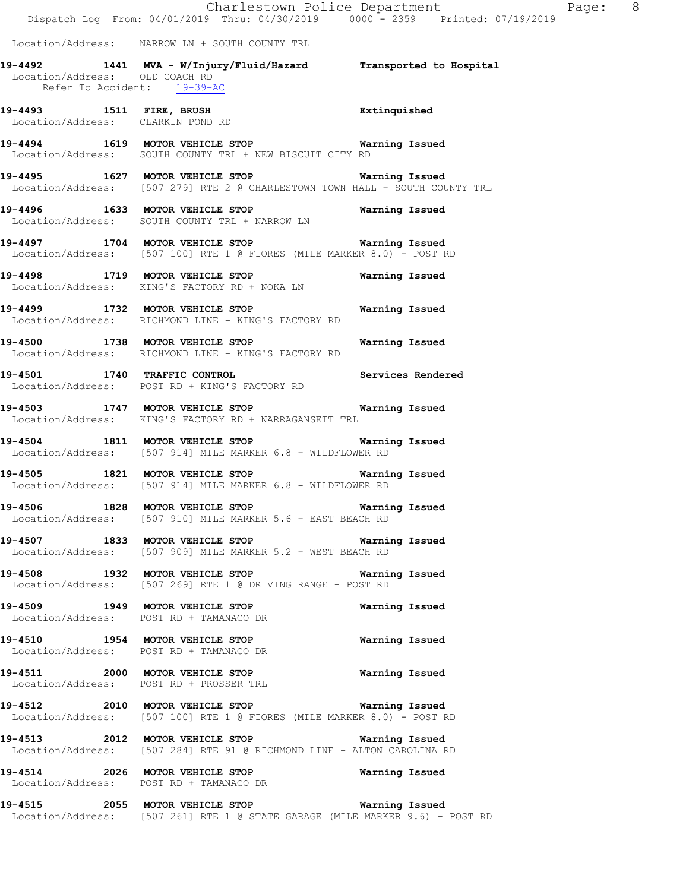Charlestown Police Department Fage: 8 Dispatch Log From: 04/01/2019 Thru: 04/30/2019 0000 - 2359 Printed: 07/19/2019 Location/Address: NARROW LN + SOUTH COUNTY TRL **19-4492 1441 MVA - W/Injury/Fluid/Hazard Transported to Hospital**  Location/Address: OLD COACH RD Refer To Accident: 19-39-AC **19-4493 1511 FIRE, BRUSH Extinquished**  Location/Address: CLARKIN POND RD **19-4494 1619 MOTOR VEHICLE STOP Warning Issued**  Location/Address: SOUTH COUNTY TRL + NEW BISCUIT CITY RD **19-4495 1627 MOTOR VEHICLE STOP Warning Issued**  Location/Address: [507 279] RTE 2 @ CHARLESTOWN TOWN HALL - SOUTH COUNTY TRL **19-4496 1633 MOTOR VEHICLE STOP Warning Issued**  Location/Address: SOUTH COUNTY TRL + NARROW LN **19-4497 1704 MOTOR VEHICLE STOP Warning Issued**  Location/Address: [507 100] RTE 1 @ FIORES (MILE MARKER 8.0) - POST RD **19-4498 1719 MOTOR VEHICLE STOP Warning Issued**  Location/Address: KING'S FACTORY RD + NOKA LN **19-4499 1732 MOTOR VEHICLE STOP Warning Issued**  RICHMOND LINE - KING'S FACTORY RD **19-4500 1738 MOTOR VEHICLE STOP Warning Issued**<br>Location/Address: RICHMOND LINE - KING'S FACTORY RD RICHMOND LINE - KING'S FACTORY RD **19-4501 1740 TRAFFIC CONTROL Services Rendered**  Location/Address: POST RD + KING'S FACTORY RD **19-4503 1747 MOTOR VEHICLE STOP Warning Issued**  Location/Address: KING'S FACTORY RD + NARRAGANSETT TRL **19-4504 1811 MOTOR VEHICLE STOP Warning Issued**  Location/Address: [507 914] MILE MARKER 6.8 - WILDFLOWER RD **19-4505 1821 MOTOR VEHICLE STOP Warning Issued**  Location/Address: [507 914] MILE MARKER 6.8 - WILDFLOWER RD **19-4506 1828 MOTOR VEHICLE STOP Warning Issued**  Location/Address: [507 910] MILE MARKER 5.6 - EAST BEACH RD **19-4507 1833 MOTOR VEHICLE STOP Warning Issued**  Location/Address: [507 909] MILE MARKER 5.2 - WEST BEACH RD **19-4508 1932 MOTOR VEHICLE STOP Warning Issued**  Location/Address: [507 269] RTE 1 @ DRIVING RANGE - POST RD **19-4509 1949 MOTOR VEHICLE STOP Warning Issued**  Location/Address: POST RD + TAMANACO DR **19-4510 1954 MOTOR VEHICLE STOP Warning Issued**  Location/Address: POST RD + TAMANACO DR **19-4511 2000 MOTOR VEHICLE STOP Warning Issued**  Location/Address: POST RD + PROSSER TRL **19-4512 2010 MOTOR VEHICLE STOP Warning Issued**  Location/Address: [507 100] RTE 1 @ FIORES (MILE MARKER 8.0) - POST RD **19-4513 2012 MOTOR VEHICLE STOP Warning Issued**  Location/Address: [507 284] RTE 91 @ RICHMOND LINE - ALTON CAROLINA RD **19-4514 2026 MOTOR VEHICLE STOP Warning Issued**  Location/Address: POST RD + TAMANACO DR **19-4515 2055 MOTOR VEHICLE STOP Warning Issued** 

Location/Address: [507 261] RTE 1 @ STATE GARAGE (MILE MARKER 9.6) - POST RD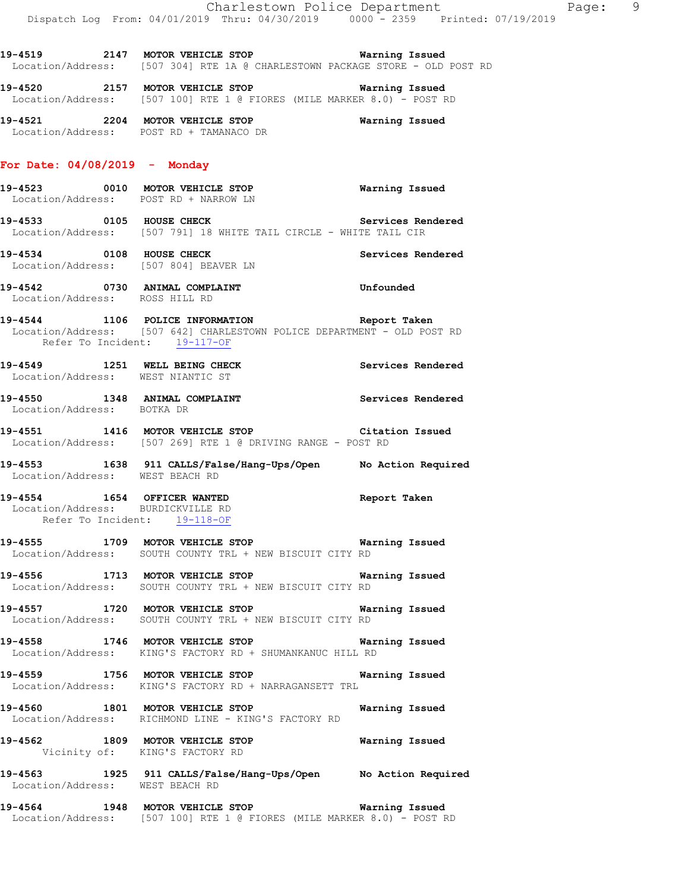**19-4520 2157 MOTOR VEHICLE STOP Warning Issued**  Location/Address: [507 100] RTE 1 @ FIORES (MILE MARKER 8.0) - POST RD

**19-4521 2204 MOTOR VEHICLE STOP Warning Issued**  Location/Address: POST RD + TAMANACO DR

#### **For Date: 04/08/2019 - Monday**

- **19-4523 0010 MOTOR VEHICLE STOP Warning Issued**  Location/Address: POST RD + NARROW LN
- **19-4533 0105 HOUSE CHECK Services Rendered**  Location/Address: [507 791] 18 WHITE TAIL CIRCLE - WHITE TAIL CIR
- **19-4534 0108 HOUSE CHECK Services Rendered**  Location/Address: [507 804] BEAVER LN
- **19-4542 0730 ANIMAL COMPLAINT Unfounded**  Location/Address: ROSS HILL RD
- **19-4544 1106 POLICE INFORMATION Report Taken**  Location/Address: [507 642] CHARLESTOWN POLICE DEPARTMENT - OLD POST RD Refer To Incident: 19-117-OF
- **19-4549 1251 WELL BEING CHECK Services Rendered**  Location/Address: WEST NIANTIC ST
- 19-4550 **1348 ANIMAL COMPLAINT 19-4550 Services Rendered** Location/Address: BOTKA DR
- **19-4551 1416 MOTOR VEHICLE STOP Citation Issued**  Location/Address: [507 269] RTE 1 @ DRIVING RANGE - POST RD
- **19-4553 1638 911 CALLS/False/Hang-Ups/Open No Action Required**  Location/Address: WEST BEACH RD
- **19-4554 1654 OFFICER WANTED Report Taken**  Location/Address: BURDICKVILLE RD Refer To Incident: 19-118-OF
- **19-4555 1709 MOTOR VEHICLE STOP Warning Issued**  Location/Address: SOUTH COUNTY TRL + NEW BISCUIT CITY RD
- **19-4556 1713 MOTOR VEHICLE STOP Warning Issued**  Location/Address: SOUTH COUNTY TRL + NEW BISCUIT CITY RD
- **19-4557 1720 MOTOR VEHICLE STOP Warning Issued**  Location/Address: SOUTH COUNTY TRL + NEW BISCUIT CITY RD
- **19-4558 1746 MOTOR VEHICLE STOP Warning Issued**  Location/Address: KING'S FACTORY RD + SHUMANKANUC HILL RD
- **19-4559 1756 MOTOR VEHICLE STOP Warning Issued**  Location/Address: KING'S FACTORY RD + NARRAGANSETT TRL
- **19-4560 1801 MOTOR VEHICLE STOP Warning Issued**  Location/Address: RICHMOND LINE - KING'S FACTORY RD
- **19-4562 1809 MOTOR VEHICLE STOP Warning Issued**  Vicinity of: KING'S FACTORY RD
- **19-4563 1925 911 CALLS/False/Hang-Ups/Open No Action Required**  Location/Address: WEST BEACH RD
- **19-4564 1948 MOTOR VEHICLE STOP Warning Issued**  Location/Address: [507 100] RTE 1 @ FIORES (MILE MARKER 8.0) - POST RD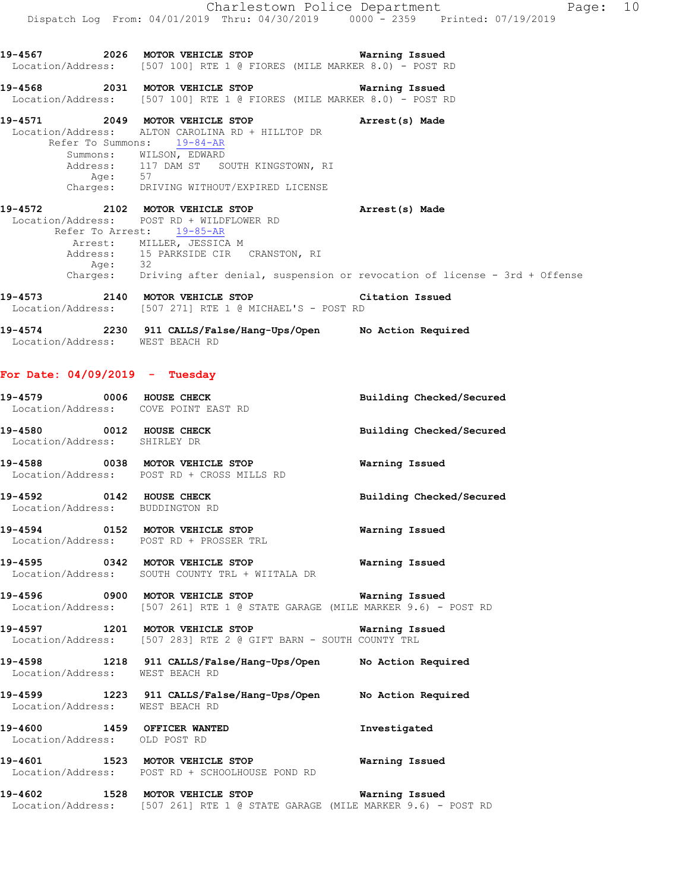**19-4567 2026 MOTOR VEHICLE STOP Warning Issued**  Location/Address: [507 100] RTE 1 @ FIORES (MILE MARKER 8.0) - POST RD **19-4568 2031 MOTOR VEHICLE STOP Warning Issued**  Location/Address: [507 100] RTE 1 @ FIORES (MILE MARKER 8.0) - POST RD **19-4571 2049 MOTOR VEHICLE STOP Arrest(s) Made**  Location/Address: ALTON CAROLINA RD + HILLTOP DR Refer To Summons: 19-84-AR Summons: WILSON, EDWARD 117 DAM ST SOUTH KINGSTOWN, RI<br>57 Address:<br>Age: Charges: DRIVING WITHOUT/EXPIRED LICENSE **19-4572 2102 MOTOR VEHICLE STOP Arrest(s) Made**  Location/Address: POST RD + WILDFLOWER RD Refer To Arrest: 19-85-AR Arrest: MILLER, JESSICA M Address: 15 PARKSIDE CIR CRANSTON, RI Age: 32 Charges: Driving after denial, suspension or revocation of license - 3rd + Offense **19-4573 2140 MOTOR VEHICLE STOP Citation Issued**  Location/Address: [507 271] RTE 1 @ MICHAEL'S - POST RD **19-4574 2230 911 CALLS/False/Hang-Ups/Open No Action Required**  Location/Address: WEST BEACH RD

### **For Date: 04/09/2019 - Tuesday**

|                                                             | 19-4579 0006 HOUSE CHECK<br>Location/Address: COVE POINT EAST RD                                                                      | Building Checked/Secured |
|-------------------------------------------------------------|---------------------------------------------------------------------------------------------------------------------------------------|--------------------------|
| Location/Address: SHIRLEY DR                                | 19-4580 0012 HOUSE CHECK                                                                                                              | Building Checked/Secured |
|                                                             | 19-4588 6038 MOTOR VEHICLE STOP 60 Warning Issued<br>Location/Address: POST RD + CROSS MILLS RD                                       |                          |
| 19-4592 0142 HOUSE CHECK<br>Location/Address: BUDDINGTON RD |                                                                                                                                       | Building Checked/Secured |
|                                                             | 19-4594 0152 MOTOR VEHICLE STOP <b>Warning Issued</b><br>Location/Address: POST RD + PROSSER TRL                                      |                          |
|                                                             | 19-4595 0342 MOTOR VEHICLE STOP <b>Warning Issued</b><br>Location/Address: SOUTH COUNTY TRL + WIITALA DR                              |                          |
|                                                             | Location/Address: [507 261] RTE 1 @ STATE GARAGE (MILE MARKER 9.6) - POST RD                                                          |                          |
|                                                             | 19-4597 1201 MOTOR VEHICLE STOP <b>Warning Issued</b><br>Location/Address: [507 283] RTE 2 @ GIFT BARN - SOUTH COUNTY TRL             |                          |
| Location/Address: WEST BEACH RD                             | 19-4598 1218 911 CALLS/False/Hang-Ups/Open No Action Required                                                                         |                          |
| Location/Address: WEST BEACH RD                             | 19-4599 1223 911 CALLS/False/Hang-Ups/Open No Action Required                                                                         |                          |
| Location/Address: OLD POST RD                               | 19-4600 1459 OFFICER WANTED                                                                                                           | Investigated             |
|                                                             | 19-4601 1523 MOTOR VEHICLE STOP<br>Location/Address: POST RD + SCHOOLHOUSE POND RD                                                    | Warning Issued           |
|                                                             | 19-4602 1528 MOTOR VEHICLE STOP <b>Warning Issued</b><br>Location/Address: [507 261] RTE 1 @ STATE GARAGE (MILE MARKER 9.6) - POST RD |                          |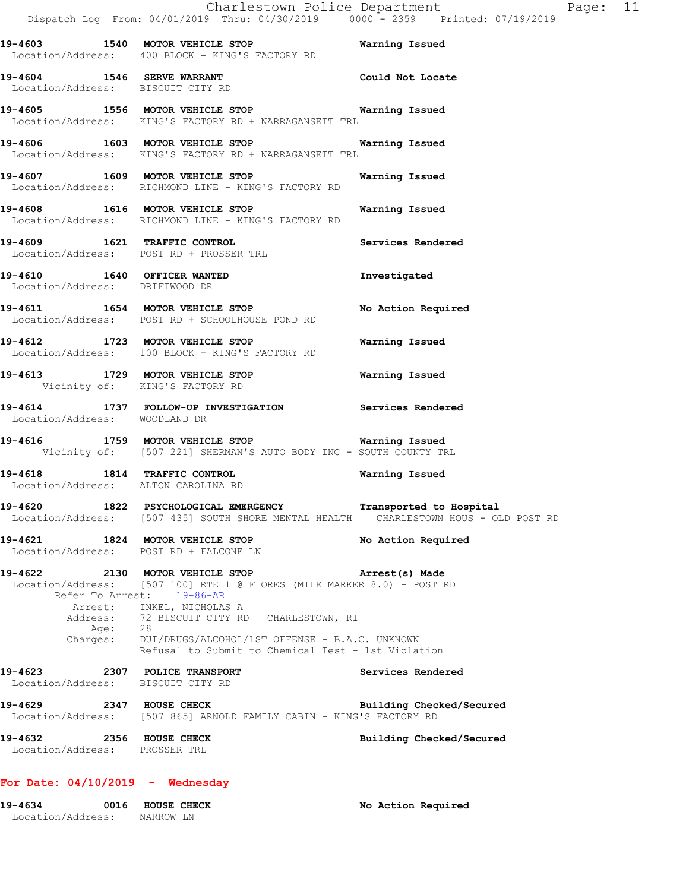|                                                                     | Dispatch Log From: 04/01/2019 Thru: 04/30/2019 0000 - 2359 Printed: 07/19/2019                                                                                                                                                                                                                                                                            | Charlestown Police Department | Page: 11 |  |
|---------------------------------------------------------------------|-----------------------------------------------------------------------------------------------------------------------------------------------------------------------------------------------------------------------------------------------------------------------------------------------------------------------------------------------------------|-------------------------------|----------|--|
|                                                                     | 19-4603 1540 MOTOR VEHICLE STOP 19-4603 Warning Issued<br>Location/Address: 400 BLOCK - KING'S FACTORY RD                                                                                                                                                                                                                                                 |                               |          |  |
| 19-4604 1546 SERVE WARRANT<br>Location/Address: BISCUIT CITY RD     |                                                                                                                                                                                                                                                                                                                                                           | Could Not Locate              |          |  |
|                                                                     | 19-4605 1556 MOTOR VEHICLE STOP 1991 Warning Issued<br>Location/Address: KING'S FACTORY RD + NARRAGANSETT TRL                                                                                                                                                                                                                                             |                               |          |  |
|                                                                     | 19-4606 1603 MOTOR VEHICLE STOP <b>STOP</b> Warning Issued<br>Location/Address: KING'S FACTORY RD + NARRAGANSETT TRL                                                                                                                                                                                                                                      |                               |          |  |
|                                                                     | 19-4607 1609 MOTOR VEHICLE STOP 1999 Warning Issued<br>Location/Address: RICHMOND LINE - KING'S FACTORY RD                                                                                                                                                                                                                                                |                               |          |  |
|                                                                     | 19-4608 1616 MOTOR VEHICLE STOP<br>Location/Address: RICHMOND LINE - KING'S FACTORY RD                                                                                                                                                                                                                                                                    | Warning Issued                |          |  |
| Location/Address: POST RD + PROSSER TRL                             | 19-4609 1621 TRAFFIC CONTROL                                                                                                                                                                                                                                                                                                                              | Services Rendered             |          |  |
| Location/Address: DRIFTWOOD DR                                      | 19-4610 1640 OFFICER WANTED                                                                                                                                                                                                                                                                                                                               | Investigated                  |          |  |
|                                                                     | 19-4611 1654 MOTOR VEHICLE STOP<br>Location/Address: POST RD + SCHOOLHOUSE POND RD                                                                                                                                                                                                                                                                        | No Action Required            |          |  |
|                                                                     | 19-4612 1723 MOTOR VEHICLE STOP<br>Location/Address: 100 BLOCK - KING'S FACTORY RD                                                                                                                                                                                                                                                                        | Warning Issued                |          |  |
| Vicinity of: KING'S FACTORY RD                                      | 19-4613 1729 MOTOR VEHICLE STOP 1991 Warning Issued                                                                                                                                                                                                                                                                                                       |                               |          |  |
| Location/Address: WOODLAND DR                                       | 19-4614 1737 FOLLOW-UP INVESTIGATION Services Rendered                                                                                                                                                                                                                                                                                                    |                               |          |  |
|                                                                     | 19-4616 1759 MOTOR VEHICLE STOP Warning Issued<br>Vicinity of: [507 221] SHERMAN'S AUTO BODY INC - SOUTH COUNTY TRL                                                                                                                                                                                                                                       |                               |          |  |
| 19-4618 1814 TRAFFIC CONTROL<br>Location/Address: ALTON CAROLINA RD |                                                                                                                                                                                                                                                                                                                                                           | Warning Issued                |          |  |
|                                                                     | 19-4620 1822 PSYCHOLOGICAL EMERGENCY<br>Location/Address: [507 435] SOUTH SHORE MENTAL HEALTH CHARLESTOWN HOUS - OLD POST RD                                                                                                                                                                                                                              | Transported to Hospital       |          |  |
| 19-4621 1824 MOTOR VEHICLE STOP                                     | Location/Address: POST RD + FALCONE LN                                                                                                                                                                                                                                                                                                                    | No Action Required            |          |  |
| Age: 28                                                             | 19-4622 2130 MOTOR VEHICLE STOP <b>Arrest(s)</b> Made<br>Location/Address: [507 100] RTE 1 @ FIORES (MILE MARKER 8.0) - POST RD<br>Refer To Arrest: 19-86-AR<br>Arrest: INKEL, NICHOLAS A<br>Address: 72 BISCUIT CITY RD CHARLESTOWN, RI<br>Charges: DUI/DRUGS/ALCOHOL/1ST OFFENSE - B.A.C. UNKNOWN<br>Refusal to Submit to Chemical Test - 1st Violation |                               |          |  |
| 19-4623 2307 POLICE TRANSPORT<br>Location/Address: BISCUIT CITY RD  |                                                                                                                                                                                                                                                                                                                                                           | Services Rendered             |          |  |
|                                                                     | 19-4629 2347 HOUSE CHECK<br>Location/Address: [507 865] ARNOLD FAMILY CABIN - KING'S FACTORY RD                                                                                                                                                                                                                                                           | Building Checked/Secured      |          |  |
| 19-4632 2356 HOUSE CHECK<br>Location/Address: PROSSER TRL           |                                                                                                                                                                                                                                                                                                                                                           | Building Checked/Secured      |          |  |

# **For Date: 04/10/2019 - Wednesday**

| 19-4634           | 0016 HOUSE CHECK | No Action Required |
|-------------------|------------------|--------------------|
| Location/Address: | NARROW LN        |                    |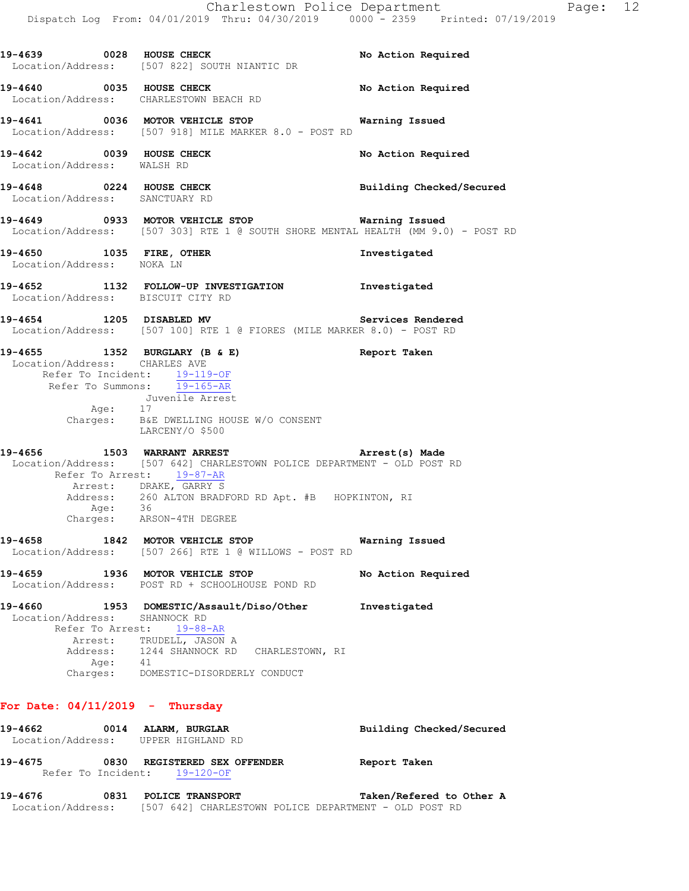|                                                            | Charlestown Police Department<br>Dispatch Log From: 04/01/2019 Thru: 04/30/2019 0000 - 2359 Printed: 07/19/2019                                                                                       |                          |
|------------------------------------------------------------|-------------------------------------------------------------------------------------------------------------------------------------------------------------------------------------------------------|--------------------------|
|                                                            | 19-4639 0028 HOUSE CHECK<br>Location/Address: [507 822] SOUTH NIANTIC DR                                                                                                                              | No Action Required       |
|                                                            | 19-4640 0035 HOUSE CHECK<br>Location/Address: CHARLESTOWN BEACH RD                                                                                                                                    | No Action Required       |
|                                                            | Location/Address: [507 918] MILE MARKER 8.0 - POST RD                                                                                                                                                 |                          |
| 19-4642 0039 HOUSE CHECK<br>Location/Address: WALSH RD     |                                                                                                                                                                                                       | No Action Required       |
| 19-4648 0224 HOUSE CHECK<br>Location/Address: SANCTUARY RD |                                                                                                                                                                                                       | Building Checked/Secured |
|                                                            | 19-4649 		 0933 MOTOR VEHICLE STOP 		 Warning Issued<br>Location/Address: [507 303] RTE 1 @ SOUTH SHORE MENTAL HEALTH (MM 9.0) - POST RD                                                              |                          |
| 19-4650 1035 FIRE, OTHER<br>Location/Address: NOKA LN      |                                                                                                                                                                                                       | Investigated             |
| Location/Address: BISCUIT CITY RD                          | 19-4652 1132 FOLLOW-UP INVESTIGATION Investigated                                                                                                                                                     |                          |
|                                                            | 19-4654 1205 DISABLED MV<br>Location/Address: [507 100] RTE 1 @ FIORES (MILE MARKER 8.0) - POST RD                                                                                                    | Services Rendered        |
| Location/Address: CHARLES AVE<br>Age: 17                   | 19-4655 1352 BURGLARY (B & E) Report Taken<br>Refer To Incident: 19-119-OF<br>Refer To Summons: 19-165-AR<br>Juvenile Arrest<br>Charges: B&E DWELLING HOUSE W/O CONSENT<br>LARCENY/O \$500            |                          |
|                                                            | -<br>19-4656 1503 WARRANT ARREST 1988 (2008) Arrest (s) Made<br>Location/Address: [507 642] CHARLESTOWN POLICE DEPARTMENT - OLD POST RD                                                               |                          |
| Age: 36                                                    | Refer To Arrest: 19-87-AR<br>Arrest: DRAKE, GARRY S<br>Address: 260 ALTON BRADFORD RD Apt. #B HOPKINTON, RI<br>Charges: ARSON-4TH DEGREE                                                              |                          |
| 19-4658                                                    | 1842 MOTOR VEHICLE STOP<br>Location/Address: [507 266] RTE 1 @ WILLOWS - POST RD                                                                                                                      | Warning Issued           |
| 19-4659                                                    | 1936 MOTOR VEHICLE STOP<br>Location/Address: POST RD + SCHOOLHOUSE POND RD                                                                                                                            | No Action Required       |
| Location/Address:<br>Refer To Arrest:                      | 19-4660 1953 DOMESTIC/Assault/Diso/Other<br>SHANNOCK RD<br>$19 - 88 - AR$<br>Arrest: TRUDELL, JASON A<br>Address: 1244 SHANNOCK RD CHARLESTOWN, RI<br>Age: 41<br>Charges: DOMESTIC-DISORDERLY CONDUCT | Investigated             |

# **For Date: 04/11/2019 - Thursday**

| 19-4662           | 0014 | ALARM, BURGLAR                                        | Building Checked/Secured |
|-------------------|------|-------------------------------------------------------|--------------------------|
|                   |      | Location/Address: UPPER HIGHLAND RD                   |                          |
| 19-4675           | 0830 | <b>REGISTERED SEX OFFENDER</b>                        | Report Taken             |
|                   |      | Refer To Incident: 19-120-OF                          |                          |
| 19-4676           | 0831 | POLICE TRANSPORT                                      | Taken/Refered to Other A |
| Location/Address: |      | [507 642] CHARLESTOWN POLICE DEPARTMENT - OLD POST RD |                          |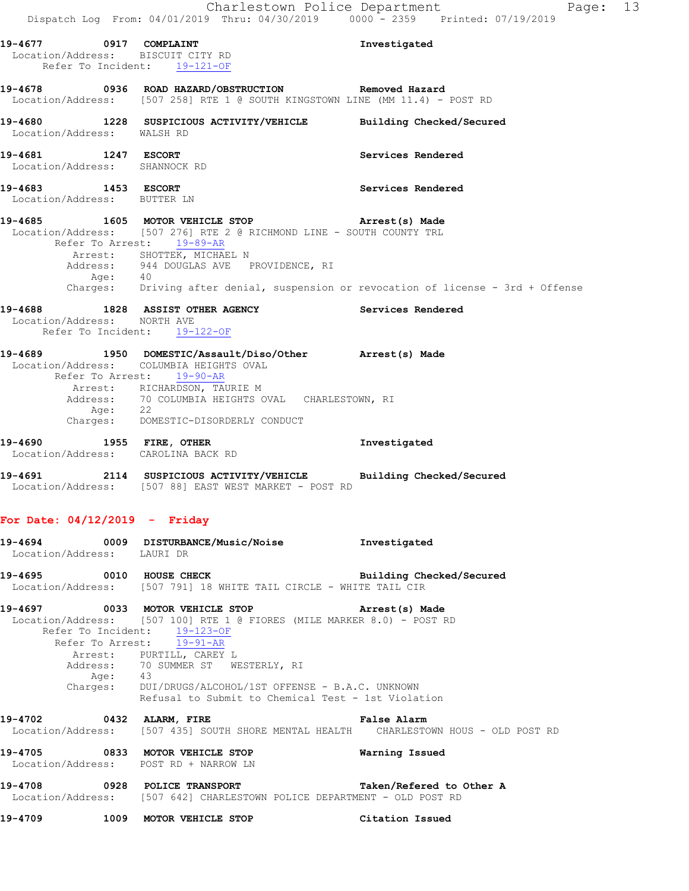|         | 19-4677 0917 COMPLAINT                               | Location/Address: BISCUIT CITY RD                                                                                                                                                                                                                                                                                                                                                          | Investigated                                                                       |
|---------|------------------------------------------------------|--------------------------------------------------------------------------------------------------------------------------------------------------------------------------------------------------------------------------------------------------------------------------------------------------------------------------------------------------------------------------------------------|------------------------------------------------------------------------------------|
|         |                                                      | Refer To Incident: 19-121-OF                                                                                                                                                                                                                                                                                                                                                               |                                                                                    |
|         |                                                      | 19-4678  0936  ROAD HAZARD/OBSTRUCTION  Removed Hazard<br>Location/Address: [507 258] RTE 1 @ SOUTH KINGSTOWN LINE (MM 11.4) - POST RD                                                                                                                                                                                                                                                     |                                                                                    |
|         | Location/Address: WALSH RD                           | 19-4680 1228 SUSPICIOUS ACTIVITY/VEHICLE Building Checked/Secured                                                                                                                                                                                                                                                                                                                          |                                                                                    |
|         | 19-4681 1247 ESCORT<br>Location/Address: SHANNOCK RD |                                                                                                                                                                                                                                                                                                                                                                                            | Services Rendered                                                                  |
|         | 19-4683 1453 ESCORT<br>Location/Address: BUTTER LN   |                                                                                                                                                                                                                                                                                                                                                                                            | Services Rendered                                                                  |
|         |                                                      | 19-4685 1605 MOTOR VEHICLE STOP 19-4685 Made<br>Location/Address: [507 276] RTE 2 @ RICHMOND LINE - SOUTH COUNTY TRL<br>Refer To Arrest: 19-89-AR<br>Arrest: SHOTTEK, MICHAEL N<br>Address: 944 DOUGLAS AVE PROVIDENCE, RI<br>Age: 40                                                                                                                                                      |                                                                                    |
|         |                                                      |                                                                                                                                                                                                                                                                                                                                                                                            | Charges: Driving after denial, suspension or revocation of license - 3rd + Offense |
|         | Location/Address: NORTH AVE                          | 19-4688 1828 ASSIST OTHER AGENCY Services Rendered<br>Refer To Incident: 19-122-OF                                                                                                                                                                                                                                                                                                         |                                                                                    |
|         | Age: 22                                              | 19-4689 1950 DOMESTIC/Assault/Diso/Other Arrest(s) Made<br>Location/Address: COLUMBIA HEIGHTS OVAL<br>Refer To Arrest: 19-90-AR<br>Arrest: RICHARDSON, TAURIE M<br>Address: 70 COLUMBIA HEIGHTS OVAL CHARLESTOWN, RI<br>Charges: DOMESTIC-DISORDERLY CONDUCT                                                                                                                               |                                                                                    |
|         |                                                      | 19-4690 1955 FIRE, OTHER<br>Location/Address: CAROLINA BACK RD                                                                                                                                                                                                                                                                                                                             | Investigated                                                                       |
|         |                                                      | 19-4691 2114 SUSPICIOUS ACTIVITY/VEHICLE Building Checked/Secured<br>Location/Address: [507 88] EAST WEST MARKET - POST RD                                                                                                                                                                                                                                                                 |                                                                                    |
|         | For Date: $04/12/2019$ - Friday                      |                                                                                                                                                                                                                                                                                                                                                                                            |                                                                                    |
|         | Location/Address: LAURI DR                           | 19-4694 0009 DISTURBANCE/Music/Noise Investigated                                                                                                                                                                                                                                                                                                                                          |                                                                                    |
|         |                                                      | 19-4695 0010 HOUSE CHECK Building Checked/Secured<br>Location/Address: [507 791] 18 WHITE TAIL CIRCLE - WHITE TAIL CIR                                                                                                                                                                                                                                                                     |                                                                                    |
|         |                                                      | 19-4697 0033 MOTOR VEHICLE STOP <b>Arrest(s)</b> Made<br>Location/Address: [507 100] RTE 1 @ FIORES (MILE MARKER 8.0) - POST RD<br>Refer To Incident: 19-123-OF<br>Refer To Arrest: 19-91-AR<br>Arrest: PURTILL, CAREY L<br>Address: 70 SUMMER ST WESTERLY, RI<br>Age: 43<br>Charges: DUI/DRUGS/ALCOHOL/1ST OFFENSE - B.A.C. UNKNOWN<br>Refusal to Submit to Chemical Test - 1st Violation |                                                                                    |
|         |                                                      | 19-4702 0432 ALARM, FIRE CONTROLLER PRISE Alarm<br>Location/Address: [507 435] SOUTH SHORE MENTAL HEALTH CHARLESTOWN HOUS - OLD POST RD                                                                                                                                                                                                                                                    |                                                                                    |
|         |                                                      | 19-4705 0833 MOTOR VEHICLE STOP<br>Location/Address: POST RD + NARROW LN                                                                                                                                                                                                                                                                                                                   | Warning Issued                                                                     |
|         |                                                      | Location/Address: [507 642] CHARLESTOWN POLICE DEPARTMENT - OLD POST RD                                                                                                                                                                                                                                                                                                                    |                                                                                    |
| 19-4709 |                                                      | 1009 MOTOR VEHICLE STOP                                                                                                                                                                                                                                                                                                                                                                    | Citation Issued                                                                    |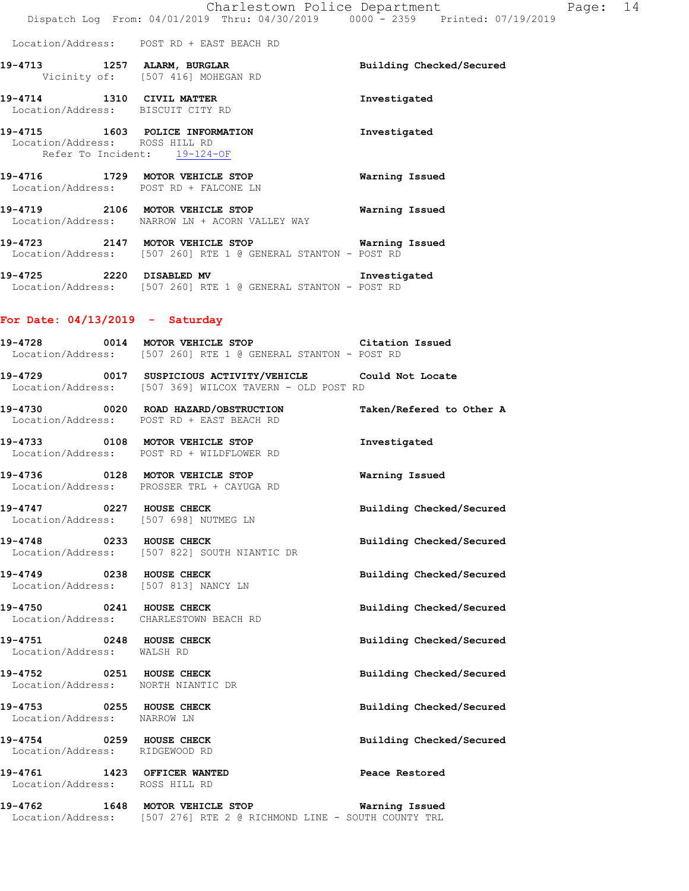Location/Address: POST RD + EAST BEACH RD

- **19-4713 1257 ALARM, BURGLAR Building Checked/Secured**  Vicinity of: [507 416] MOHEGAN RD **19-4714 1310 CIVIL MATTER Investigated**
- Location/Address: BISCUIT CITY RD **19-4715 1603 POLICE INFORMATION Investigated**  Location/Address: ROSS HILL RD Refer To Incident: 19-124-OF
- **19-4716 1729 MOTOR VEHICLE STOP Warning Issued**  Location/Address: POST RD + FALCONE LN
- **19-4719 2106 MOTOR VEHICLE STOP Warning Issued**  Location/Address: NARROW LN + ACORN VALLEY WAY
- **19-4723 2147 MOTOR VEHICLE STOP Warning Issued**  Location/Address: [507 260] RTE 1 @ GENERAL STANTON - POST RD
- **19-4725 2220 DISABLED MV Investigated**  Location/Address: [507 260] RTE 1 @ GENERAL STANTON - POST RD

### **For Date: 04/13/2019 - Saturday**

- **19-4728 0014 MOTOR VEHICLE STOP Citation Issued**  Location/Address: [507 260] RTE 1 @ GENERAL STANTON - POST RD
- **19-4729 0017 SUSPICIOUS ACTIVITY/VEHICLE Could Not Locate**  Location/Address: [507 369] WILCOX TAVERN - OLD POST RD
- **19-4730 0020 ROAD HAZARD/OBSTRUCTION Taken/Refered to Other A**  Location/Address: POST RD + EAST BEACH RD
- **19-4733 0108 MOTOR VEHICLE STOP Investigated**  Location/Address: POST RD + WILDFLOWER RD
- **19-4736 0128 MOTOR VEHICLE STOP Warning Issued**  Location/Address: PROSSER TRL + CAYUGA RD
- **19-4747 0227 HOUSE CHECK Building Checked/Secured**  Location/Address: [507 698] NUTMEG LN
- **19-4748 0233 HOUSE CHECK Building Checked/Secured**  Location/Address: [507 822] SOUTH NIANTIC DR
- **19-4749 0238 HOUSE CHECK Building Checked/Secured**  Location/Address: [507 813] NANCY LN
- **19-4750 0241 HOUSE CHECK Building Checked/Secured**  Location/Address: CHARLESTOWN BEACH RD
- **19-4751 0248 HOUSE CHECK Building Checked/Secured**  Location/Address: WALSH RD
- **19-4752 0251 HOUSE CHECK Building Checked/Secured**  Location/Address: NORTH NIANTIC DR
- **19-4753 0255 HOUSE CHECK Building Checked/Secured**
- Location/Address: NARROW LN
- **19-4754 0259 HOUSE CHECK Building Checked/Secured**  Location/Address: RIDGEWOOD RD
- **19-4761 1423 OFFICER WANTED Peace Restored**  Location/Address: ROSS HILL RD
- 
- 
- **19-4762 1648 MOTOR VEHICLE STOP Warning Issued**  Location/Address: [507 276] RTE 2 @ RICHMOND LINE - SOUTH COUNTY TRL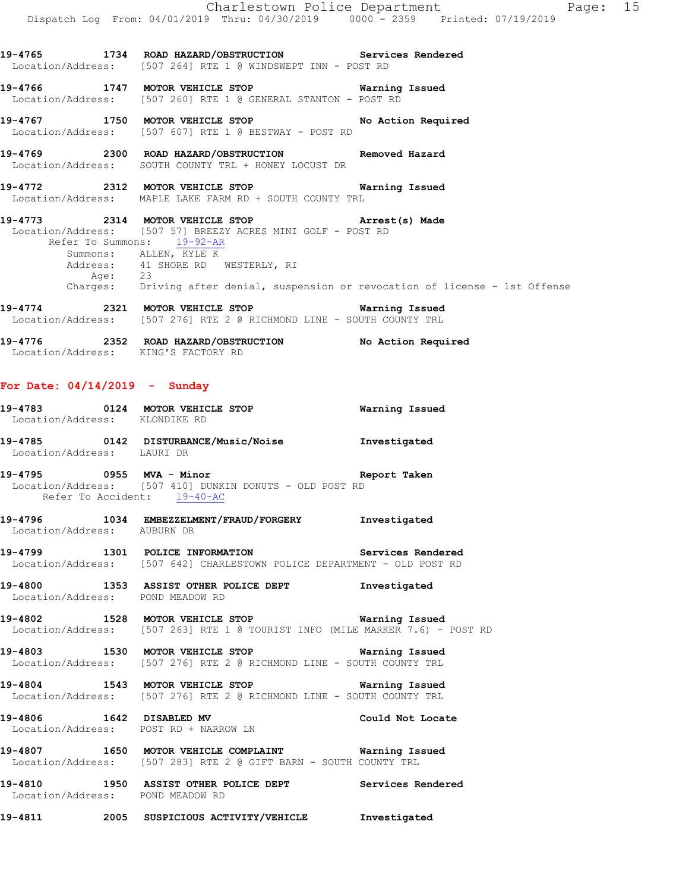**19-4765 1734 ROAD HAZARD/OBSTRUCTION Services Rendered**  Location/Address: [507 264] RTE 1 @ WINDSWEPT INN - POST RD

**19-4766 1747 MOTOR VEHICLE STOP Warning Issued**  Location/Address: [507 260] RTE 1 @ GENERAL STANTON - POST RD

**19-4767 1750 MOTOR VEHICLE STOP No Action Required**  Location/Address: [507 607] RTE 1 @ BESTWAY - POST RD

**19-4769 2300 ROAD HAZARD/OBSTRUCTION Removed Hazard**  Location/Address: SOUTH COUNTY TRL + HONEY LOCUST DR

**19-4772 2312 MOTOR VEHICLE STOP Warning Issued**  Location/Address: MAPLE LAKE FARM RD + SOUTH COUNTY TRL

**19-4773 2314 MOTOR VEHICLE STOP Arrest(s) Made**  Location/Address: [507 57] BREEZY ACRES MINI GOLF - POST RD Refer To Summons: 19-92-AR Summons: ALLEN, KYLE K Address: 41 SHORE RD WESTERLY, RI Age: 23 Charges: Driving after denial, suspension or revocation of license - 1st Offense

**19-4774 2321 MOTOR VEHICLE STOP Warning Issued**  Location/Address: [507 276] RTE 2 @ RICHMOND LINE - SOUTH COUNTY TRL

**19-4776 2352 ROAD HAZARD/OBSTRUCTION No Action Required**  Location/Address: KING'S FACTORY RD

### **For Date: 04/14/2019 - Sunday**

| Location/Address: KLONDIKE RD    |                                                                                                                                        |  |
|----------------------------------|----------------------------------------------------------------------------------------------------------------------------------------|--|
| Location/Address: LAURI DR       | 19-4785  0142 DISTURBANCE/Music/Noise  Investigated                                                                                    |  |
|                                  | Location/Address: [507 410] DUNKIN DONUTS - OLD POST RD<br>Refer To Accident: 19-40-AC                                                 |  |
| Location/Address: AUBURN DR      | 19-4796 1034 EMBEZZELMENT/FRAUD/FORGERY Investigated                                                                                   |  |
|                                  | 19-4799 1301 POLICE INFORMATION Services Rendered<br>Location/Address: [507 642] CHARLESTOWN POLICE DEPARTMENT - OLD POST RD           |  |
|                                  | 19-4800 1353 ASSIST OTHER POLICE DEPT Threstigated<br>Location/Address: POND MEADOW RD                                                 |  |
|                                  | 19-4802 1528 MOTOR VEHICLE STOP 19-4802 Warning Issued<br>Location/Address: [507 263] RTE 1 @ TOURIST INFO (MILE MARKER 7.6) - POST RD |  |
|                                  | 19-4803 1530 MOTOR VEHICLE STOP 19-4803 Warning Issued<br>Location/Address: [507 276] RTE 2 @ RICHMOND LINE - SOUTH COUNTY TRL         |  |
|                                  | 19-4804 1543 MOTOR VEHICLE STOP <b>Warning Issued</b><br>Location/Address: [507 276] RTE 2 @ RICHMOND LINE - SOUTH COUNTY TRL          |  |
|                                  | 19-4806 1642 DISABLED MV Could Not Locate<br>Location/Address: POST RD + NARROW LN                                                     |  |
|                                  | 19-4807 1650 MOTOR VEHICLE COMPLAINT 6 Warning Issued<br>Location/Address: [507 283] RTE 2 @ GIFT BARN - SOUTH COUNTY TRL              |  |
| Location/Address: POND MEADOW RD | 19-4810 1950 ASSIST OTHER POLICE DEPT Services Rendered                                                                                |  |
|                                  |                                                                                                                                        |  |

**19-4811 2005 SUSPICIOUS ACTIVITY/VEHICLE Investigated**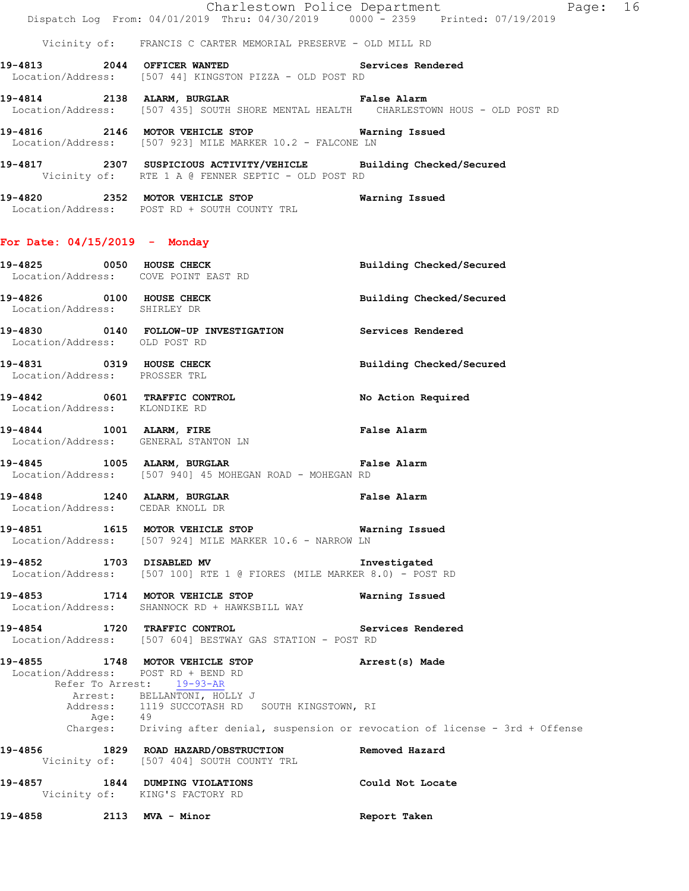Charlestown Police Department Page: 16 Dispatch Log From: 04/01/2019 Thru: 04/30/2019 0000 - 2359 Printed: 07/19/2019

Vicinity of: FRANCIS C CARTER MEMORIAL PRESERVE - OLD MILL RD

- **19-4813 2044 OFFICER WANTED Services Rendered**  Location/Address: [507 44] KINGSTON PIZZA - OLD POST RD
- **19-4814 2138 ALARM, BURGLAR False Alarm**  Location/Address: [507 435] SOUTH SHORE MENTAL HEALTH CHARLESTOWN HOUS - OLD POST RD
- **19-4816 2146 MOTOR VEHICLE STOP Warning Issued**  Location/Address: [507 923] MILE MARKER 10.2 - FALCONE LN
- **19-4817 2307 SUSPICIOUS ACTIVITY/VEHICLE Building Checked/Secured**  Vicinity of: RTE 1 A @ FENNER SEPTIC - OLD POST RD
- **19-4820 2352 MOTOR VEHICLE STOP Warning Issued**  Location/Address: POST RD + SOUTH COUNTY TRL

### **For Date: 04/15/2019 - Monday**

**19-4825 0050 HOUSE CHECK Building Checked/Secured**  Location/Address: COVE POINT EAST RD **19-4826 0100 HOUSE CHECK Building Checked/Secured**  Location/Address: SHIRLEY DR **19-4830 0140 FOLLOW-UP INVESTIGATION Services Rendered**  Location/Address: OLD POST RD **19-4831 0319 HOUSE CHECK Building Checked/Secured**  Location/Address: PROSSER TRL **19-4842 0601 TRAFFIC CONTROL No Action Required**  Location/Address: KLONDIKE RD **19-4844 1001 ALARM, FIRE False Alarm**  Location/Address: GENERAL STANTON LN **19-4845 1005 ALARM, BURGLAR False Alarm**  Location/Address: [507 940] 45 MOHEGAN ROAD - MOHEGAN RD **19-4848 1240 ALARM, BURGLAR False Alarm**  Location/Address: CEDAR KNOLL DR **19-4851 1615 MOTOR VEHICLE STOP Warning Issued**  Location/Address: [507 924] MILE MARKER 10.6 - NARROW LN **19-4852 1703 DISABLED MV Investigated**  Location/Address: [507 100] RTE 1 @ FIORES (MILE MARKER 8.0) - POST RD **19-4853 1714 MOTOR VEHICLE STOP Warning Issued**  Location/Address: SHANNOCK RD + HAWKSBILL WAY **19-4854 1720 TRAFFIC CONTROL Services Rendered**  Location/Address: [507 604] BESTWAY GAS STATION - POST RD **19-4855 1748 MOTOR VEHICLE STOP Arrest(s) Made**  Location/Address: POST RD + BEND RD Refer To Arrest: 19-93-AR Arrest: BELLANTONI, HOLLY J Address: 1119 SUCCOTASH RD SOUTH KINGSTOWN, RI Age: 49 Charges: Driving after denial, suspension or revocation of license - 3rd + Offense **19-4856 1829 ROAD HAZARD/OBSTRUCTION Removed Hazard**  Vicinity of: [507 404] SOUTH COUNTY TRL **19-4857 1844 DUMPING VIOLATIONS Could Not Locate**  Vicinity of: KING'S FACTORY RD **19-4858 2113 MVA - Minor Report Taken**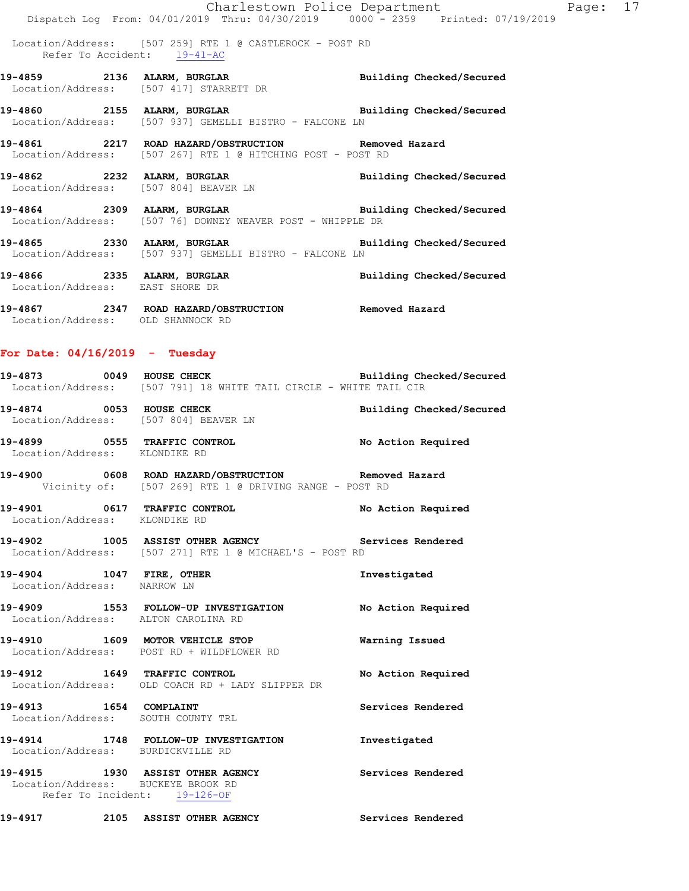Charlestown Police Department Fage: 17 Dispatch Log From: 04/01/2019 Thru: 04/30/2019 0000 - 2359 Printed: 07/19/2019 Location/Address: [507 259] RTE 1 @ CASTLEROCK - POST RD Refer To Accident:  $\frac{19-41-AC}{2}$ **19-4859 2136 ALARM, BURGLAR Building Checked/Secured**  Location/Address: [507 417] STARRETT DR **19-4860 2155 ALARM, BURGLAR Building Checked/Secured**  Location/Address: [507 937] GEMELLI BISTRO - FALCONE LN **19-4861 2217 ROAD HAZARD/OBSTRUCTION Removed Hazard**  Location/Address: [507 267] RTE 1 @ HITCHING POST - POST RD **19-4862 2232 ALARM, BURGLAR Building Checked/Secured**  Location/Address: [507 804] BEAVER LN **19-4864 2309 ALARM, BURGLAR Building Checked/Secured**  Location/Address: [507 76] DOWNEY WEAVER POST - WHIPPLE DR **19-4865 2330 ALARM, BURGLAR Building Checked/Secured**  Location/Address: [507 937] GEMELLI BISTRO - FALCONE LN **19-4866 2335 ALARM, BURGLAR Building Checked/Secured**  Location/Address: EAST SHORE DR **19-4867 2347 ROAD HAZARD/OBSTRUCTION Removed Hazard**  Location/Address: OLD SHANNOCK RD **For Date: 04/16/2019 - Tuesday 19-4873 0049 HOUSE CHECK Building Checked/Secured**  Location/Address: [507 791] 18 WHITE TAIL CIRCLE - WHITE TAIL CIR **19-4874 0053 HOUSE CHECK Building Checked/Secured**  Location/Address: [507 804] BEAVER LN **19-4899 0555 TRAFFIC CONTROL No Action Required**  Location/Address: KLONDIKE RD **19-4900 0608 ROAD HAZARD/OBSTRUCTION Removed Hazard**  Vicinity of: [507 269] RTE 1 @ DRIVING RANGE - POST RD **19-4901 0617 TRAFFIC CONTROL No Action Required**  Location/Address: KLONDIKE RD **19-4902 1005 ASSIST OTHER AGENCY Services Rendered**  Location/Address: [507 271] RTE 1 @ MICHAEL'S - POST RD **19-4904 1047 FIRE, OTHER Investigated** 

Location/Address: NARROW LN

**19-4909 1553 FOLLOW-UP INVESTIGATION No Action Required**  Location/Address: ALTON CAROLINA RD

**19-4910 1609 MOTOR VEHICLE STOP Warning Issued**  Location/Address: POST RD + WILDFLOWER RD

**19-4912 1649 TRAFFIC CONTROL No Action Required**  Location/Address: OLD COACH RD + LADY SLIPPER DR

19-4913 1654 COMPLAINT **19-4913** Services Rendered Location/Address: SOUTH COUNTY TRL

**19-4914 1748 FOLLOW-UP INVESTIGATION Investigated**  Location/Address: BURDICKVILLE RD

**19-4915 1930 ASSIST OTHER AGENCY Services Rendered**  Location/Address: BUCKEYE BROOK RD Refer To Incident: 19-126-OF

**19-4917 2105 ASSIST OTHER AGENCY Services Rendered**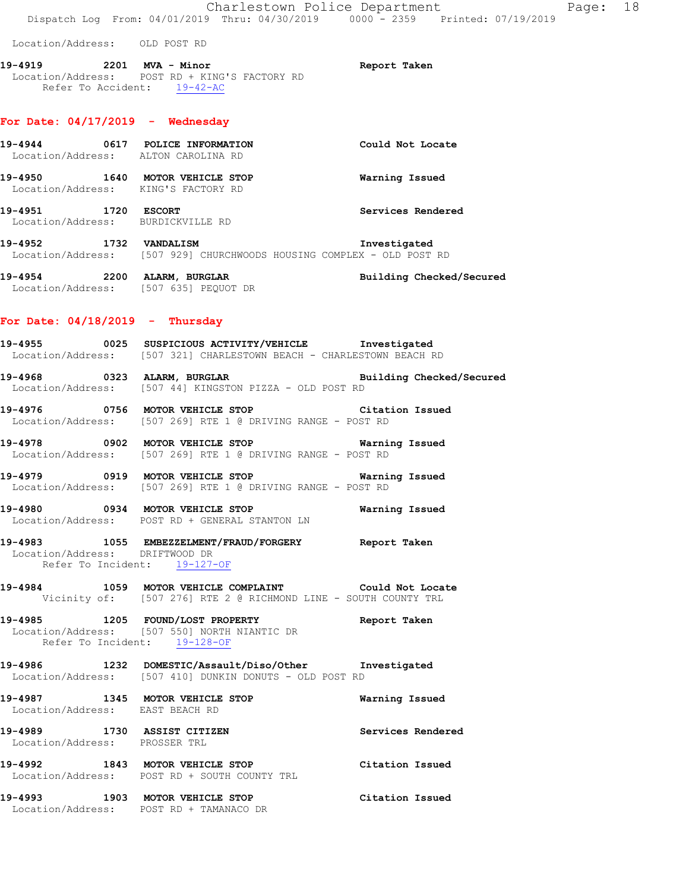Location/Address: OLD POST RD

**19-4919 2201 MVA - Minor Report Taken**  Location/Address: POST RD + KING'S FACTORY RD Refer To Accident: 19-42-AC

#### **For Date: 04/17/2019 - Wednesday**

| 19-4944                      | 0617 | POLICE INFORMATION<br>Location/Address: ALTON CAROLINA RD | Could Not Locate  |
|------------------------------|------|-----------------------------------------------------------|-------------------|
| 19-4950                      | 1640 | MOTOR VEHICLE STOP<br>Location/Address: KING'S FACTORY RD | Warning Issued    |
| 19-4951<br>Location/Address: | 1720 | <b>ESCORT</b><br>BURDICKVILLE RD                          | Services Rendered |

**19-4952 1732 VANDALISM Investigated**  Location/Address: [507 929] CHURCHWOODS HOUSING COMPLEX - OLD POST RD

**19-4954 2200 ALARM, BURGLAR Building Checked/Secured**  Location/Address: [507 635] PEQUOT DR

### **For Date: 04/18/2019 - Thursday**

- **19-4955 0025 SUSPICIOUS ACTIVITY/VEHICLE Investigated**  Location/Address: [507 321] CHARLESTOWN BEACH - CHARLESTOWN BEACH RD
- **19-4968 0323 ALARM, BURGLAR Building Checked/Secured**  Location/Address: [507 44] KINGSTON PIZZA - OLD POST RD
- **19-4976 0756 MOTOR VEHICLE STOP Citation Issued**  Location/Address: [507 269] RTE 1 @ DRIVING RANGE - POST RD
- **19-4978 0902 MOTOR VEHICLE STOP Warning Issued**  Location/Address: [507 269] RTE 1 @ DRIVING RANGE - POST RD
- **19-4979 0919 MOTOR VEHICLE STOP Warning Issued**  Location/Address: [507 269] RTE 1 @ DRIVING RANGE - POST RD
- **19-4980 0934 MOTOR VEHICLE STOP Warning Issued**  Location/Address: POST RD + GENERAL STANTON LN
- **19-4983 1055 EMBEZZELMENT/FRAUD/FORGERY Report Taken**  Location/Address: DRIFTWOOD DR Refer To Incident: 19-127-OF
- **19-4984 1059 MOTOR VEHICLE COMPLAINT Could Not Locate**  Vicinity of: [507 276] RTE 2 @ RICHMOND LINE - SOUTH COUNTY TRL
- **19-4985 1205 FOUND/LOST PROPERTY Report Taken**  Location/Address: [507 550] NORTH NIANTIC DR Refer To Incident: 19-128-OF
- **19-4986 1232 DOMESTIC/Assault/Diso/Other Investigated**  Location/Address: [507 410] DUNKIN DONUTS - OLD POST RD
- **19-4987 1345 MOTOR VEHICLE STOP Warning Issued**  Location/Address: EAST BEACH RD **19-4989 1730 ASSIST CITIZEN Services Rendered**  Location/Address: PROSSER TRL
- **19-4992 1843 MOTOR VEHICLE STOP Citation Issued**  Location/Address: POST RD + SOUTH COUNTY TRL
- **19-4993 1903 MOTOR VEHICLE STOP Citation Issued**  Location/Address: POST RD + TAMANACO DR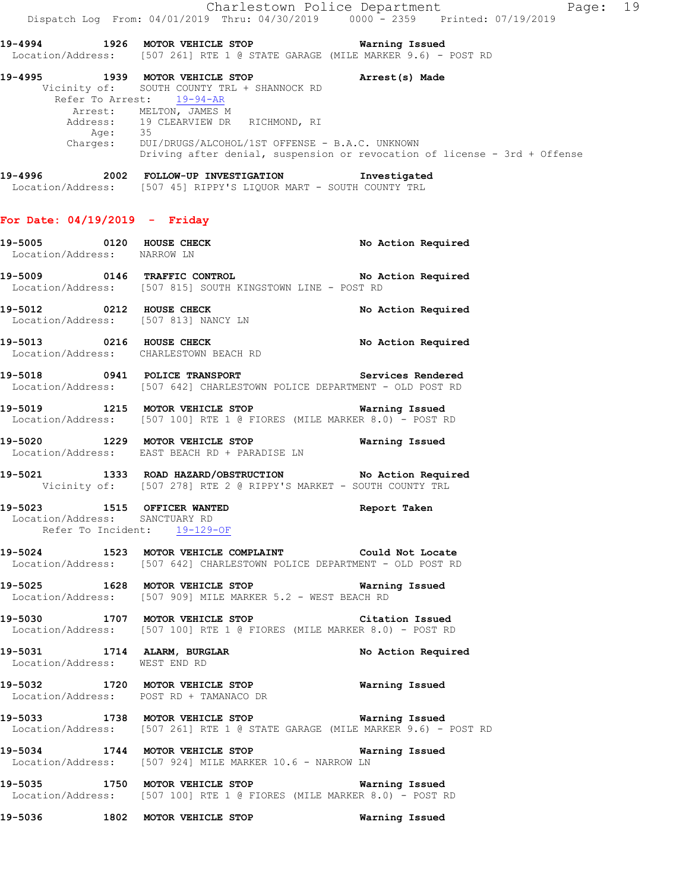Charlestown Police Department Page: 19 Dispatch Log From: 04/01/2019 Thru: 04/30/2019 0000 - 2359 Printed: 07/19/2019

**19-4994 1926 MOTOR VEHICLE STOP Warning Issued**  Location/Address: [507 261] RTE 1 @ STATE GARAGE (MILE MARKER 9.6) - POST RD

**19-4995 1939 MOTOR VEHICLE STOP Arrest(s) Made**  Vicinity of: SOUTH COUNTY TRL + SHANNOCK RD Refer To Arrest: 19-94-AR Arrest: MELTON, JAMES M Address: 19 CLEARVIEW DR RICHMOND, RI Age: 35 Charges: DUI/DRUGS/ALCOHOL/1ST OFFENSE - B.A.C. UNKNOWN Driving after denial, suspension or revocation of license - 3rd + Offense

**19-4996 2002 FOLLOW-UP INVESTIGATION Investigated**  Location/Address: [507 45] RIPPY'S LIQUOR MART - SOUTH COUNTY TRL

#### **For Date: 04/19/2019 - Friday**

**19-5005 0120 HOUSE CHECK No Action Required**  Location/Address: NARROW LN **19-5009 0146 TRAFFIC CONTROL No Action Required**  Location/Address: [507 815] SOUTH KINGSTOWN LINE - POST RD **19-5012 0212 HOUSE CHECK No Action Required**  Location/Address: [507 813] NANCY LN 19-5013 **0216 HOUSE CHECK 19** No Action Required Location/Address: CHARLESTOWN BEACH RD **19-5018 0941 POLICE TRANSPORT Services Rendered**  Location/Address: [507 642] CHARLESTOWN POLICE DEPARTMENT - OLD POST RD **19-5019 1215 MOTOR VEHICLE STOP Warning Issued**  Location/Address: [507 100] RTE 1 @ FIORES (MILE MARKER 8.0) - POST RD **19-5020 1229 MOTOR VEHICLE STOP Warning Issued**  Location/Address: EAST BEACH RD + PARADISE LN **19-5021 1333 ROAD HAZARD/OBSTRUCTION No Action Required**  Vicinity of: [507 278] RTE 2 @ RIPPY'S MARKET - SOUTH COUNTY TRL **19-5023 1515 OFFICER WANTED Report Taken**  Location/Address: SANCTUARY RD Refer To Incident: 19-129-OF **19-5024 1523 MOTOR VEHICLE COMPLAINT Could Not Locate**  Location/Address: [507 642] CHARLESTOWN POLICE DEPARTMENT - OLD POST RD **19-5025 1628 MOTOR VEHICLE STOP Warning Issued**  Location/Address: [507 909] MILE MARKER 5.2 - WEST BEACH RD **19-5030 1707 MOTOR VEHICLE STOP Citation Issued**  Location/Address: [507 100] RTE 1 @ FIORES (MILE MARKER 8.0) - POST RD **19-5031 1714 ALARM, BURGLAR No Action Required**  Location/Address: WEST END RD **19-5032 1720 MOTOR VEHICLE STOP Warning Issued**  Location/Address: POST RD + TAMANACO DR **19-5033 1738 MOTOR VEHICLE STOP Warning Issued**  Location/Address: [507 261] RTE 1 @ STATE GARAGE (MILE MARKER 9.6) - POST RD **19-5034 1744 MOTOR VEHICLE STOP Warning Issued**  Location/Address: [507 924] MILE MARKER 10.6 - NARROW LN **19-5035 1750 MOTOR VEHICLE STOP Warning Issued**  Location/Address: [507 100] RTE 1 @ FIORES (MILE MARKER 8.0) - POST RD **19-5036 1802 MOTOR VEHICLE STOP Warning Issued**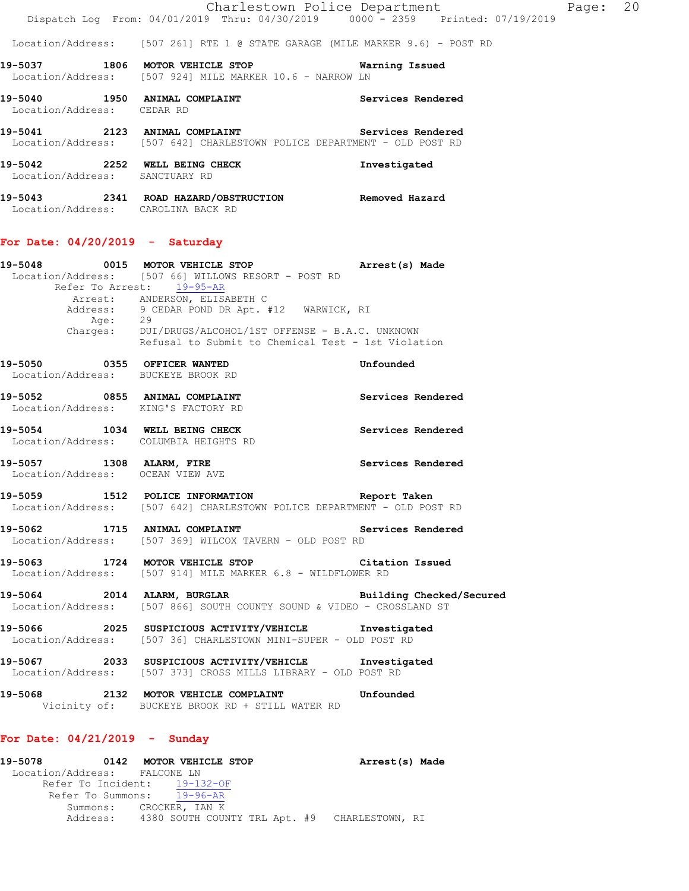Location/Address: [507 261] RTE 1 @ STATE GARAGE (MILE MARKER 9.6) - POST RD

- **19-5037 1806 MOTOR VEHICLE STOP Warning Issued**  Location/Address: [507 924] MILE MARKER 10.6 - NARROW LN
- 19-5040 1950 ANIMAL COMPLAINT **19-5040** Services Rendered Location/Address: CEDAR RD
- **19-5041 2123 ANIMAL COMPLAINT Services Rendered**  Location/Address: [507 642] CHARLESTOWN POLICE DEPARTMENT - OLD POST RD
- **19-5042 2252 WELL BEING CHECK Investigated**  Location/Address: SANCTUARY RD
- **19-5043 2341 ROAD HAZARD/OBSTRUCTION Removed Hazard**  Location/Address: CAROLINA BACK RD

### **For Date: 04/20/2019 - Saturday**

| 19-5048 |          | 0015 MOTOR VEHICLE STOP                                                                              | Arrest(s) Made |
|---------|----------|------------------------------------------------------------------------------------------------------|----------------|
|         |          | Location/Address: [507 66] WILLOWS RESORT - POST RD                                                  |                |
|         |          | Refer To Arrest: 19-95-AR                                                                            |                |
|         |          | Arrest: ANDERSON, ELISABETH C                                                                        |                |
|         |          | Address: 9 CEDAR POND DR Apt. #12 WARWICK, RI                                                        |                |
|         | Age:     | 29                                                                                                   |                |
|         | Charges: | DUI/DRUGS/ALCOHOL/1ST OFFENSE - B.A.C. UNKNOWN<br>Refusal to Submit to Chemical Test - 1st Violation |                |
| 19-5050 | 0355     | OFFICER WANTED                                                                                       | Unfounded      |
|         |          | Location/Address: BUCKEYE BROOK RD                                                                   |                |

- **19-5052 0855 ANIMAL COMPLAINT Services Rendered**  Location/Address: KING'S FACTORY RD
- **19-5054 1034 WELL BEING CHECK Services Rendered**  Location/Address: COLUMBIA HEIGHTS RD
- **19-5057 1308 ALARM, FIRE Services Rendered**  Location/Address: OCEAN VIEW AVE
- **19-5059 1512 POLICE INFORMATION Report Taken**  Location/Address: [507 642] CHARLESTOWN POLICE DEPARTMENT - OLD POST RD
- 19-5062 1715 ANIMAL COMPLAINT **Services Rendered** Location/Address: [507 369] WILCOX TAVERN - OLD POST RD
- **19-5063 1724 MOTOR VEHICLE STOP Citation Issued**  Location/Address: [507 914] MILE MARKER 6.8 - WILDFLOWER RD
- **19-5064 2014 ALARM, BURGLAR Building Checked/Secured**  Location/Address: [507 866] SOUTH COUNTY SOUND & VIDEO - CROSSLAND ST
- **19-5066 2025 SUSPICIOUS ACTIVITY/VEHICLE Investigated**  Location/Address: [507 36] CHARLESTOWN MINI-SUPER - OLD POST RD
- **19-5067 2033 SUSPICIOUS ACTIVITY/VEHICLE Investigated**  Location/Address: [507 373] CROSS MILLS LIBRARY - OLD POST RD
- **19-5068 2132 MOTOR VEHICLE COMPLAINT Unfounded**  Vicinity of: BUCKEYE BROOK RD + STILL WATER RD

#### **For Date: 04/21/2019 - Sunday**

| 19-5078                      |                         |  | 0142 MOTOR VEHICLE STOP |  | Arrest(s) Made                                         |  |
|------------------------------|-------------------------|--|-------------------------|--|--------------------------------------------------------|--|
| Location/Address: FALCONE LN |                         |  |                         |  |                                                        |  |
| Refer To Incident: 19-132-OF |                         |  |                         |  |                                                        |  |
| Refer To Summons: 19-96-AR   |                         |  |                         |  |                                                        |  |
|                              | Summons: CROCKER, IAN K |  |                         |  | Address: 4380 SOUTH COUNTY TRL Apt. #9 CHARLESTOWN, RI |  |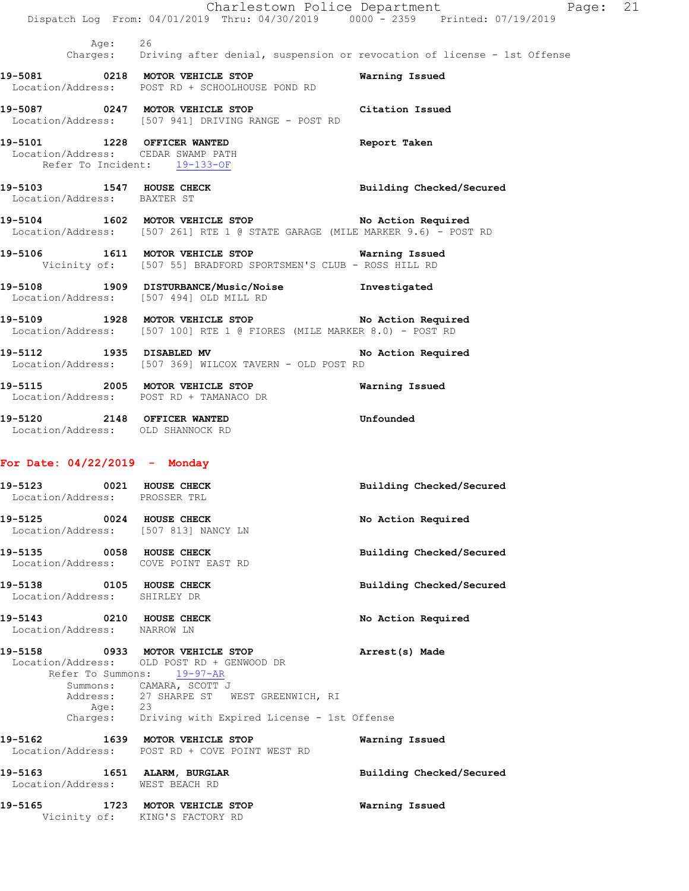|                               |                                                                                                                                                                                                                                                       | Charlestown Police Department | Page: 21 |  |
|-------------------------------|-------------------------------------------------------------------------------------------------------------------------------------------------------------------------------------------------------------------------------------------------------|-------------------------------|----------|--|
|                               | Dispatch Log From: 04/01/2019 Thru: 04/30/2019 0000 - 2359 Printed: 07/19/2019                                                                                                                                                                        |                               |          |  |
| Age: 26                       | Charges: Driving after denial, suspension or revocation of license - 1st Offense                                                                                                                                                                      |                               |          |  |
|                               | 19-5081 0218 MOTOR VEHICLE STOP<br>Location/Address: POST RD + SCHOOLHOUSE POND RD                                                                                                                                                                    | Warning Issued                |          |  |
|                               | 19-5087 0247 MOTOR VEHICLE STOP Citation Issued<br>Location/Address: [507 941] DRIVING RANGE - POST RD                                                                                                                                                |                               |          |  |
|                               | 19-5101 1228 OFFICER WANTED<br>Location/Address: CEDAR SWAMP PATH<br>Refer To Incident: 19-133-OF                                                                                                                                                     | Report Taken                  |          |  |
| Location/Address: BAXTER ST   | 19-5103 1547 HOUSE CHECK                                                                                                                                                                                                                              | Building Checked/Secured      |          |  |
|                               | 19-5104 1602 MOTOR VEHICLE STOP No Action Required<br>Location/Address: [507 261] RTE 1 @ STATE GARAGE (MILE MARKER 9.6) - POST RD                                                                                                                    |                               |          |  |
|                               | 19-5106 1611 MOTOR VEHICLE STOP 10 Warning Issued<br>Vicinity of: [507 55] BRADFORD SPORTSMEN'S CLUB - ROSS HILL RD                                                                                                                                   |                               |          |  |
|                               | 19-5108 1909 DISTURBANCE/Music/Noise 1nvestigated<br>Location/Address: [507 494] OLD MILL RD                                                                                                                                                          |                               |          |  |
|                               | 19-5109 1928 MOTOR VEHICLE STOP No Action Required<br>Location/Address: [507 100] RTE 1 @ FIORES (MILE MARKER 8.0) - POST RD                                                                                                                          |                               |          |  |
|                               | 19-5112 1935 DISABLED MV No Action Required<br>Location/Address: [507 369] WILCOX TAVERN - OLD POST RD                                                                                                                                                |                               |          |  |
|                               | 19-5115 2005 MOTOR VEHICLE STOP<br>Location/Address: POST RD + TAMANACO DR                                                                                                                                                                            | Warning Issued                |          |  |
|                               | 19-5120 2148 OFFICER WANTED 5120 Unfounded<br>Location/Address: OLD SHANNOCK RD                                                                                                                                                                       |                               |          |  |
|                               | For Date: $04/22/2019$ - Monday                                                                                                                                                                                                                       |                               |          |  |
| Location/Address: PROSSER TRL | 19-5123 0021 HOUSE CHECK                                                                                                                                                                                                                              | Building Checked/Secured      |          |  |
|                               | 19-5125 0024 HOUSE CHECK<br>Location/Address: [507 813] NANCY LN                                                                                                                                                                                      | No Action Required            |          |  |
|                               | 19-5135 0058 HOUSE CHECK<br>Location/Address: COVE POINT EAST RD                                                                                                                                                                                      | Building Checked/Secured      |          |  |
| Location/Address: SHIRLEY DR  | 19-5138 0105 HOUSE CHECK                                                                                                                                                                                                                              | Building Checked/Secured      |          |  |
| Location/Address: NARROW LN   | 19-5143 0210 HOUSE CHECK                                                                                                                                                                                                                              | No Action Required            |          |  |
|                               | 19-5158 0933 MOTOR VEHICLE STOP<br>Location/Address: OLD POST RD + GENWOOD DR<br>Refer To Summons: 19-97-AR<br>Summons: CAMARA, SCOTT J<br>Address: 27 SHARPE ST WEST GREENWICH, RI<br>Age: 23<br>Charges: Driving with Expired License - 1st Offense | Arrest(s) Made                |          |  |
|                               | 19-5162 1639 MOTOR VEHICLE STOP                                                                                                                                                                                                                       | Warning Issued                |          |  |
|                               | Location/Address: POST RD + COVE POINT WEST RD<br>19-5163 1651 ALARM, BURGLAR                                                                                                                                                                         | Building Checked/Secured      |          |  |
|                               | Location/Address: WEST BEACH RD                                                                                                                                                                                                                       |                               |          |  |
|                               | 19-5165 1723 MOTOR VEHICLE STOP<br>Vicinity of: KING'S FACTORY RD                                                                                                                                                                                     | Warning Issued                |          |  |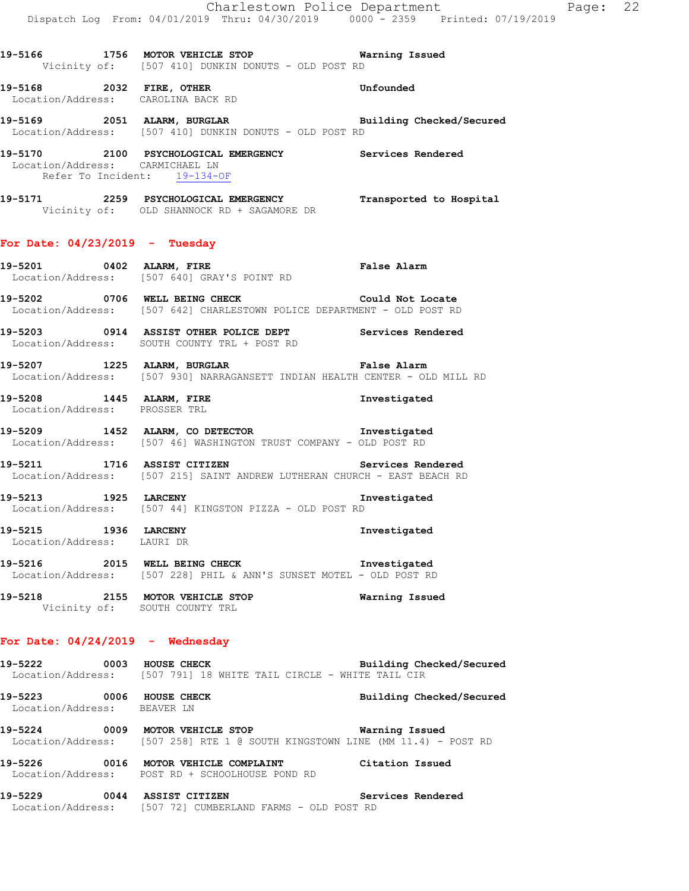|                                                                 | Dispatch Log From: 04/01/2019 Thru: 04/30/2019 0000 - 2359 Printed: 07/19/2019                                                        | Charlestown Police Department | Page: 22 |  |
|-----------------------------------------------------------------|---------------------------------------------------------------------------------------------------------------------------------------|-------------------------------|----------|--|
|                                                                 | 19-5166 1756 MOTOR VEHICLE STOP 6 Warning Issued<br>Vicinity of: [507 410] DUNKIN DONUTS - OLD POST RD                                |                               |          |  |
|                                                                 | 19-5168 2032 FIRE, OTHER 2008 19 Unfounded<br>Location/Address: CAROLINA BACK RD                                                      |                               |          |  |
|                                                                 | 19-5169 2051 ALARM, BURGLAR Building Checked/Secured<br>Location/Address: [507 410] DUNKIN DONUTS - OLD POST RD                       |                               |          |  |
| Location/Address: CARMICHAEL LN<br>Refer To Incident: 19-134-OF | 19-5170 2100 PSYCHOLOGICAL EMERGENCY Services Rendered                                                                                |                               |          |  |
|                                                                 | 19-5171 2259 PSYCHOLOGICAL EMERGENCY Transported to Hospital<br>Vicinity of: OLD SHANNOCK RD + SAGAMORE DR                            |                               |          |  |
| For Date: $04/23/2019$ - Tuesday                                |                                                                                                                                       |                               |          |  |
|                                                                 | Location/Address: [507 640] GRAY'S POINT RD                                                                                           |                               |          |  |
|                                                                 | 19-5202 0706 WELL BEING CHECK Could Not Locate<br>Location/Address: [507 642] CHARLESTOWN POLICE DEPARTMENT - OLD POST RD             |                               |          |  |
|                                                                 | 19-5203 0914 ASSIST OTHER POLICE DEPT Services Rendered Location/Address: SOUTH COUNTY TRL + POST RD                                  |                               |          |  |
|                                                                 | 19-5207 1225 ALARM, BURGLAR False Alarm<br>Location/Address: [507 930] NARRAGANSETT INDIAN HEALTH CENTER - OLD MILL RD                |                               |          |  |
| Location/Address: PROSSER TRL                                   | 19-5208 1445 ALARM, FIRE                                                                                                              | Investigated                  |          |  |
|                                                                 | 19-5209 1452 ALARM, CO DETECTOR 1nvestigated<br>Location/Address: [507 46] WASHINGTON TRUST COMPANY - OLD POST RD                     |                               |          |  |
|                                                                 | 19-5211 1716 ASSIST CITIZEN<br>Location/Address: [507 215] SAINT ANDREW LUTHERAN CHURCH - EAST BEACH RD                               | Services Rendered             |          |  |
| 19-5213 1925 LARCENY                                            | Location/Address: [507 44] KINGSTON PIZZA - OLD POST RD                                                                               | Investigated                  |          |  |
| 19-5215 1936 LARCENY<br>Location/Address: LAURI DR              |                                                                                                                                       | Investigated                  |          |  |
|                                                                 | 19-5216 2015 WELL BEING CHECK 100 Investigated<br>Location/Address: [507 228] PHIL & ANN'S SUNSET MOTEL - OLD POST RD                 |                               |          |  |
|                                                                 | 19-5218 2155 MOTOR VEHICLE STOP<br>Vicinity of: SOUTH COUNTY TRL                                                                      | Warning Issued                |          |  |
| For Date: $04/24/2019$ - Wednesday                              |                                                                                                                                       |                               |          |  |
|                                                                 | 19-5222 0003 HOUSE CHECK<br>Location/Address: [507 791] 18 WHITE TAIL CIRCLE - WHITE TAIL CIR                                         | Building Checked/Secured      |          |  |
| Location/Address: BEAVER LN                                     | 19-5223 0006 HOUSE CHECK                                                                                                              | Building Checked/Secured      |          |  |
|                                                                 | 19-5224 0009 MOTOR VEHICLE STOP <b>Warning Issued</b><br>Location/Address: [507 258] RTE 1 @ SOUTH KINGSTOWN LINE (MM 11.4) - POST RD |                               |          |  |
|                                                                 | 19-5226 0016 MOTOR VEHICLE COMPLAINT Citation Issued<br>Location/Address: POST RD + SCHOOLHOUSE POND RD                               |                               |          |  |

**19-5229 0044 ASSIST CITIZEN Services Rendered** 

Location/Address: [507 72] CUMBERLAND FARMS - OLD POST RD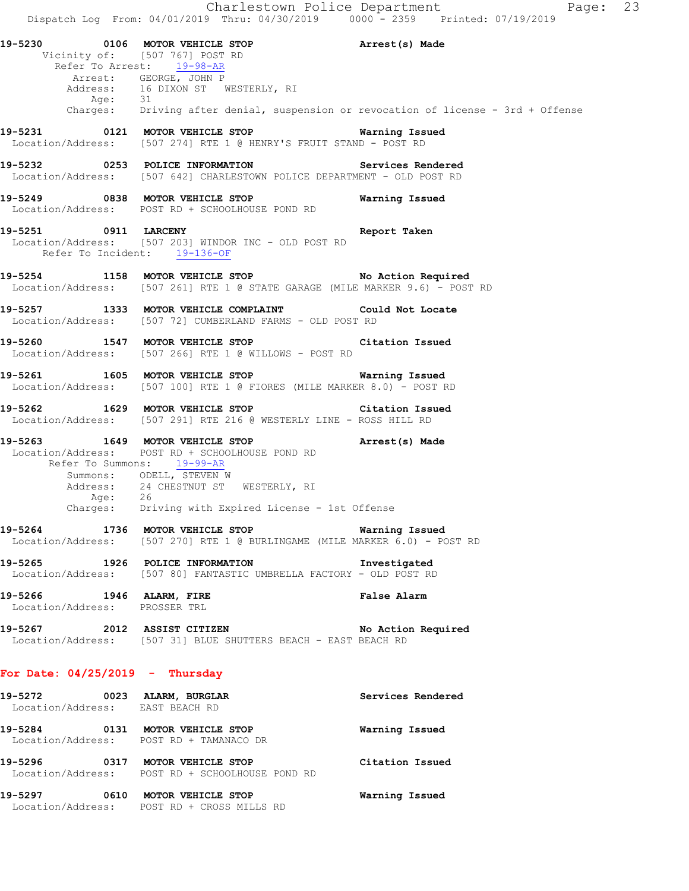Charlestown Police Department Fage: 23 Dispatch Log From: 04/01/2019 Thru: 04/30/2019 0000 - 2359 Printed: 07/19/2019 **19-5230 0106 MOTOR VEHICLE STOP Arrest(s) Made**  Vicinity of: [507 767] POST RD Refer To Arrest: 19-98-AR Arrest: GEORGE, JOHN P Address: 16 DIXON ST WESTERLY, RI Age: 31 Charges: Driving after denial, suspension or revocation of license - 3rd + Offense **19-5231 0121 MOTOR VEHICLE STOP Warning Issued**  Location/Address: [507 274] RTE 1 @ HENRY'S FRUIT STAND - POST RD **19-5232 0253 POLICE INFORMATION Services Rendered**  Location/Address: [507 642] CHARLESTOWN POLICE DEPARTMENT - OLD POST RD **19-5249 0838 MOTOR VEHICLE STOP Warning Issued**  Location/Address: POST RD + SCHOOLHOUSE POND RD **19-5251 0911 LARCENY Report Taken**  Location/Address: [507 203] WINDOR INC - OLD POST RD Refer To Incident: 19-136-OF **19-5254 1158 MOTOR VEHICLE STOP No Action Required**  Location/Address: [507 261] RTE 1 @ STATE GARAGE (MILE MARKER 9.6) - POST RD **19-5257 1333 MOTOR VEHICLE COMPLAINT Could Not Locate**  Location/Address: [507 72] CUMBERLAND FARMS - OLD POST RD **19-5260 1547 MOTOR VEHICLE STOP Citation Issued**  Location/Address: [507 266] RTE 1 @ WILLOWS - POST RD **19-5261 1605 MOTOR VEHICLE STOP Warning Issued**  Location/Address: [507 100] RTE 1 @ FIORES (MILE MARKER 8.0) - POST RD **19-5262 1629 MOTOR VEHICLE STOP Citation Issued**  Location/Address: [507 291] RTE 216 @ WESTERLY LINE - ROSS HILL RD **19-5263 1649 MOTOR VEHICLE STOP Arrest(s) Made**  Location/Address: POST RD + SCHOOLHOUSE POND RD Refer To Summons: 19-99-AR Summons: ODELL, STEVEN W Address: 24 CHESTNUT ST WESTERLY, RI  $Age: 26$  Charges: Driving with Expired License - 1st Offense **19-5264 1736 MOTOR VEHICLE STOP Warning Issued**  Location/Address: [507 270] RTE 1 @ BURLINGAME (MILE MARKER 6.0) - POST RD **19-5265 1926 POLICE INFORMATION Investigated**  Location/Address: [507 80] FANTASTIC UMBRELLA FACTORY - OLD POST RD **19-5266 1946 ALARM, FIRE False Alarm**  Location/Address: PROSSER TRL **19-5267 2012 ASSIST CITIZEN No Action Required**  Location/Address: [507 31] BLUE SHUTTERS BEACH - EAST BEACH RD **For Date: 04/25/2019 - Thursday 19-5272 0023 ALARM, BURGLAR Services Rendered** 

 Location/Address: EAST BEACH RD **19-5284 0131 MOTOR VEHICLE STOP Warning Issued**  Location/Address: POST RD + TAMANACO DR **19-5296 0317 MOTOR VEHICLE STOP Citation Issued**  Location/Address: POST RD + SCHOOLHOUSE POND RD **19-5297 0610 MOTOR VEHICLE STOP Warning Issued**  Location/Address: POST RD + CROSS MILLS RD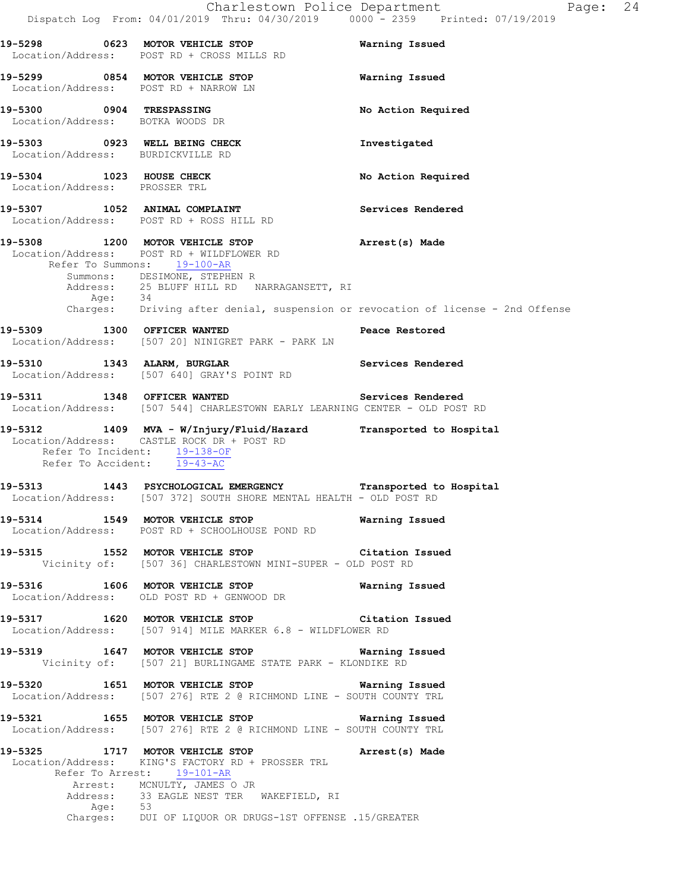|                                                                    | Dispatch Log From: 04/01/2019 Thru: 04/30/2019 0000 <sup>-</sup> - 2359 Printed: 07/19/2019                                                                                               | Charlestown Police Department<br>Page: 24 |
|--------------------------------------------------------------------|-------------------------------------------------------------------------------------------------------------------------------------------------------------------------------------------|-------------------------------------------|
|                                                                    | 19-5298 623 MOTOR VEHICLE STOP 6 Warning Issued<br>Location/Address: POST RD + CROSS MILLS RD                                                                                             |                                           |
|                                                                    | 19-5299 0854 MOTOR VEHICLE STOP<br>Location/Address: POST RD + NARROW LN                                                                                                                  | Warning Issued                            |
| 19-5300 0904 TRESPASSING<br>Location/Address: BOTKA WOODS DR       |                                                                                                                                                                                           | No Action Required                        |
| 19-5303 0923 WELL BEING CHECK<br>Location/Address: BURDICKVILLE RD |                                                                                                                                                                                           | Investigated                              |
| 19-5304 1023 HOUSE CHECK<br>Location/Address: PROSSER TRL          |                                                                                                                                                                                           | No Action Required                        |
|                                                                    | 19-5307 1052 ANIMAL COMPLAINT<br>Location/Address: POST RD + ROSS HILL RD                                                                                                                 | Services Rendered                         |
|                                                                    | 19-5308 1200 MOTOR VEHICLE STOP<br>Location/Address: POST RD + WILDFLOWER RD<br>Refer To Summons: 19-100-AR<br>Summons: DESIMONE, STEPHEN R<br>Address: 25 BLUFF HILL RD NARRAGANSETT, RI | Arrest(s) Made                            |
|                                                                    | Age: 34<br>Charges: Driving after denial, suspension or revocation of license - 2nd Offense                                                                                               |                                           |
| 19-5309 1300 OFFICER WANTED                                        | <b>Peace Restored</b><br>Location/Address: [507 20] NINIGRET PARK - PARK LN                                                                                                               |                                           |
|                                                                    | 19-5310 1343 ALARM, BURGLAR NEW Services Rendered<br>Location/Address: [507 640] GRAY'S POINT RD                                                                                          |                                           |
|                                                                    | 19-5311 1348 OFFICER WANTED<br>Location/Address: [507 544] CHARLESTOWN EARLY LEARNING CENTER - OLD POST RD                                                                                | Services Rendered                         |
| Refer To Incident: 19-138-OF<br>Refer To Accident: 19-43-AC        | 19-5312 1409 MVA - W/Injury/Fluid/Hazard Transported to Hospital<br>Location/Address: CASTLE ROCK DR + POST RD                                                                            |                                           |
|                                                                    | 19-5313 1443 PSYCHOLOGICAL EMERGENCY Transported to Hospital<br>Location/Address: [507 372] SOUTH SHORE MENTAL HEALTH - OLD POST RD                                                       |                                           |
|                                                                    | 19-5314 1549 MOTOR VEHICLE STOP<br>Location/Address: POST RD + SCHOOLHOUSE POND RD                                                                                                        | Warning Issued                            |
|                                                                    | 19-5315 1552 MOTOR VEHICLE STOP Citation Issued<br>Vicinity of: [507 36] CHARLESTOWN MINI-SUPER - OLD POST RD                                                                             |                                           |
|                                                                    | 19-5316 1606 MOTOR VEHICLE STOP 1999 Warning Issued<br>Location/Address: OLD POST RD + GENWOOD DR                                                                                         |                                           |
|                                                                    | 19-5317 1620 MOTOR VEHICLE STOP Citation Issued<br>Location/Address: [507 914] MILE MARKER 6.8 - WILDFLOWER RD                                                                            |                                           |
|                                                                    | 19-5319 1647 MOTOR VEHICLE STOP 19-5319<br>Vicinity of: [507 21] BURLINGAME STATE PARK - KLONDIKE RD                                                                                      |                                           |
|                                                                    | 19-5320 1651 MOTOR VEHICLE STOP <b>Warning Issued</b><br>Location/Address: [507 276] RTE 2 @ RICHMOND LINE - SOUTH COUNTY TRL                                                             |                                           |
|                                                                    | 19-5321 1655 MOTOR VEHICLE STOP 19-5321<br>Location/Address: [507 276] RTE 2 @ RICHMOND LINE - SOUTH COUNTY TRL                                                                           |                                           |
|                                                                    | 19-5325 1717 MOTOR VEHICLE STOP <b>Example 20 Arrest(s)</b> Made<br>Location/Address: KING'S FACTORY RD + PROSSER TRL<br>Refer To Arrest: 19-101-AR                                       |                                           |
|                                                                    | Arrest: MCNULTY, JAMES O JR<br>Address: 33 EAGLE NEST TER WAKEFIELD, RI                                                                                                                   |                                           |
| Age: 53                                                            | Charges: DUI OF LIQUOR OR DRUGS-1ST OFFENSE .15/GREATER                                                                                                                                   |                                           |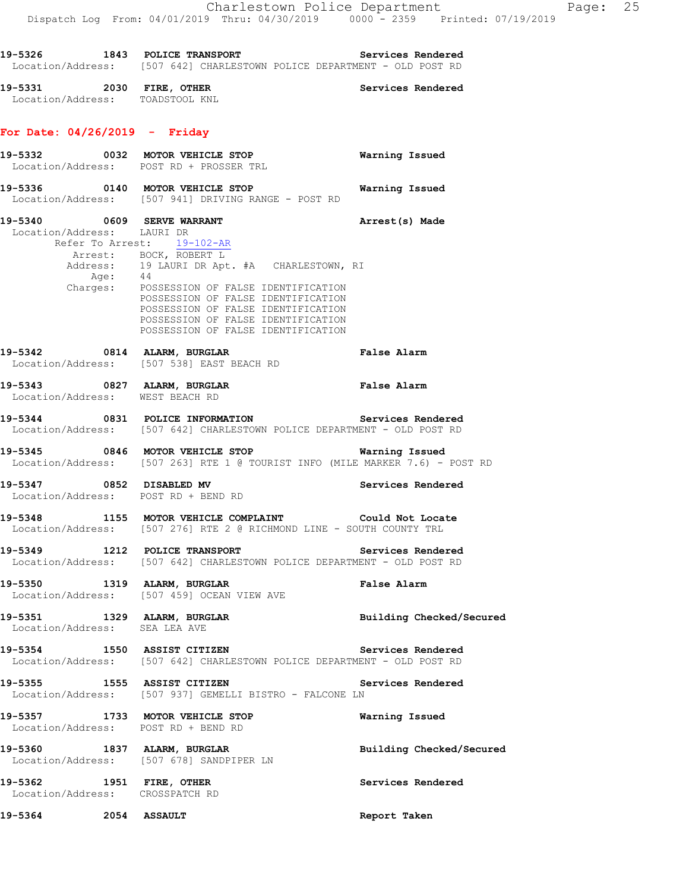19-5326 1843 POLICE TRANSPORT **Services Rendered**  Location/Address: [507 642] CHARLESTOWN POLICE DEPARTMENT - OLD POST RD 19-5331 2030 FIRE, OTHER **Services Rendered**  Location/Address: TOADSTOOL KNL **For Date: 04/26/2019 - Friday 19-5332 0032 MOTOR VEHICLE STOP Warning Issued**  Location/Address: POST RD + PROSSER TRL **19-5336 0140 MOTOR VEHICLE STOP Warning Issued**  Refer To Arrest: 19-102-AR Age: 44

 Location/Address: [507 941] DRIVING RANGE - POST RD 19-5340 0609 SERVE WARRANT **Arrest**(s) Made Location/Address: LAURI DR Arrest: BOCK, ROBERT L Address: 19 LAURI DR Apt. #A CHARLESTOWN, RI Charges: POSSESSION OF FALSE IDENTIFICATION POSSESSION OF FALSE IDENTIFICATION POSSESSION OF FALSE IDENTIFICATION POSSESSION OF FALSE IDENTIFICATION POSSESSION OF FALSE IDENTIFICATION **19-5342 0814 ALARM, BURGLAR False Alarm**  Location/Address: [507 538] EAST BEACH RD **19-5343 0827 ALARM, BURGLAR False Alarm**  Location/Address: WEST BEACH RD **19-5344 0831 POLICE INFORMATION Services Rendered**  Location/Address: [507 642] CHARLESTOWN POLICE DEPARTMENT - OLD POST RD **19-5345 0846 MOTOR VEHICLE STOP Warning Issued**  Location/Address: [507 263] RTE 1 @ TOURIST INFO (MILE MARKER 7.6) - POST RD **19-5347 0852 DISABLED MV Services Rendered**  Location/Address: POST RD + BEND RD **19-5348 1155 MOTOR VEHICLE COMPLAINT Could Not Locate**  Location/Address: [507 276] RTE 2 @ RICHMOND LINE - SOUTH COUNTY TRL **19-5349 1212 POLICE TRANSPORT Services Rendered**  Location/Address: [507 642] CHARLESTOWN POLICE DEPARTMENT - OLD POST RD **19-5350 1319 ALARM, BURGLAR False Alarm**  Location/Address: [507 459] OCEAN VIEW AVE **19-5351 1329 ALARM, BURGLAR Building Checked/Secured**  Location/Address: SEA LEA AVE **19-5354 1550 ASSIST CITIZEN Services Rendered**  Location/Address: [507 642] CHARLESTOWN POLICE DEPARTMENT - OLD POST RD **19-5355 1555 ASSIST CITIZEN Services Rendered**  Location/Address: [507 937] GEMELLI BISTRO - FALCONE LN **19-5357 1733 MOTOR VEHICLE STOP Warning Issued**  Location/Address: POST RD + BEND RD **19-5360 1837 ALARM, BURGLAR Building Checked/Secured**  Location/Address: [507 678] SANDPIPER LN **19-5362 1951 FIRE, OTHER Services Rendered**  Location/Address: CROSSPATCH RD **19-5364 2054 ASSAULT Report Taken**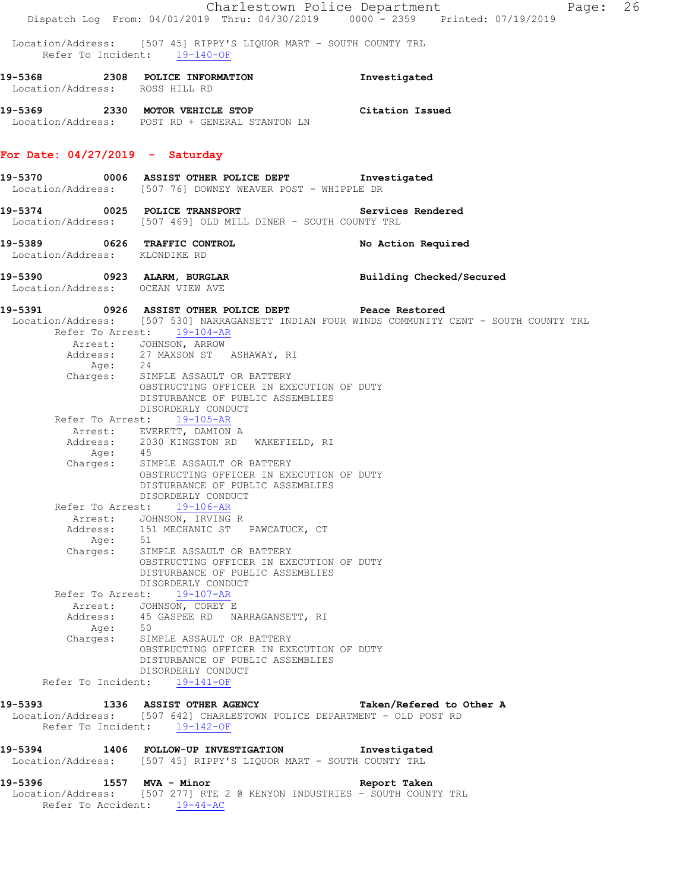|                                   |                                                                                                                                                     | Charlestown Police Department<br>Page: 26                                                    |  |
|-----------------------------------|-----------------------------------------------------------------------------------------------------------------------------------------------------|----------------------------------------------------------------------------------------------|--|
|                                   |                                                                                                                                                     | Dispatch Log From: 04/01/2019 Thru: 04/30/2019 0000 - 2359 Printed: 07/19/2019               |  |
|                                   | Location/Address: [507 45] RIPPY'S LIQUOR MART - SOUTH COUNTY TRL<br>Refer To Incident: 19-140-OF                                                   |                                                                                              |  |
| Location/Address: ROSS HILL RD    | 19-5368 2308 POLICE INFORMATION                                                                                                                     | Investigated                                                                                 |  |
|                                   | 19-5369 2330 MOTOR VEHICLE STOP Citation Issued<br>Location/Address: POST RD + GENERAL STANTON LN                                                   |                                                                                              |  |
| For Date: $04/27/2019$ - Saturday |                                                                                                                                                     |                                                                                              |  |
|                                   | 19-5370 0006 ASSIST OTHER POLICE DEPT Threstigated<br>Location/Address: [507 76] DOWNEY WEAVER POST - WHIPPLE DR                                    |                                                                                              |  |
|                                   | 19-5374 0025 POLICE TRANSPORT Services Rendered<br>Location/Address: [507 469] OLD MILL DINER - SOUTH COUNTY TRL                                    |                                                                                              |  |
| Location/Address: KLONDIKE RD     | 19-5389 0626 TRAFFIC CONTROL                                                                                                                        | No Action Required                                                                           |  |
| Location/Address: OCEAN VIEW AVE  | 19-5390 0923 ALARM, BURGLAR                                                                                                                         | Building Checked/Secured                                                                     |  |
|                                   | 19-5391 0926 ASSIST OTHER POLICE DEPT Peace Restored<br>Refer To Arrest: 19-104-AR                                                                  | Location/Address: [507 530] NARRAGANSETT INDIAN FOUR WINDS COMMUNITY CENT - SOUTH COUNTY TRL |  |
|                                   | Arrest: JOHNSON, ARROW                                                                                                                              |                                                                                              |  |
|                                   | Address: 27 MAXSON ST ASHAWAY, RI                                                                                                                   |                                                                                              |  |
|                                   | Age: 24<br>Charges: SIMPLE ASSAULT OR BATTERY                                                                                                       |                                                                                              |  |
|                                   | OBSTRUCTING OFFICER IN EXECUTION OF DUTY<br>DISTURBANCE OF PUBLIC ASSEMBLIES<br>DISORDERLY CONDUCT                                                  |                                                                                              |  |
|                                   | Refer To Arrest: 19-105-AR                                                                                                                          |                                                                                              |  |
|                                   | Arrest: EVERETT, DAMION A<br>Address: 2030 KINGSTON RD WAKEFIELD, RI                                                                                |                                                                                              |  |
|                                   | Age: 45<br>Charges: SIMPLE ASSAULT OR BATTERY<br>OBSTRUCTING OFFICER IN EXECUTION OF DUTY<br>DISTURBANCE OF PUBLIC ASSEMBLIES<br>DISORDERLY CONDUCT |                                                                                              |  |
|                                   | Refer To Arrest: 19-106-AR                                                                                                                          |                                                                                              |  |
|                                   | Arrest: JOHNSON, IRVING R                                                                                                                           |                                                                                              |  |
| Age: 51                           | Address: 151 MECHANIC ST PAWCATUCK, CT                                                                                                              |                                                                                              |  |
|                                   | Charges: SIMPLE ASSAULT OR BATTERY<br>OBSTRUCTING OFFICER IN EXECUTION OF DUTY<br>DISTURBANCE OF PUBLIC ASSEMBLIES<br>DISORDERLY CONDUCT            |                                                                                              |  |
|                                   | Refer To Arrest: 19-107-AR                                                                                                                          |                                                                                              |  |
|                                   | Arrest: JOHNSON, COREY E<br>Address: 45 GASPEE RD NARRAGANSETT, RI                                                                                  |                                                                                              |  |
|                                   | Age: 50<br>Charges: SIMPLE ASSAULT OR BATTERY<br>OBSTRUCTING OFFICER IN EXECUTION OF DUTY<br>DISTURBANCE OF PUBLIC ASSEMBLIES                       |                                                                                              |  |
|                                   | DISORDERLY CONDUCT<br>Refer To Incident: 19-141-OF                                                                                                  |                                                                                              |  |
|                                   |                                                                                                                                                     |                                                                                              |  |
| 19-5393                           | 1336 ASSIST OTHER AGENCY<br>Location/Address: [507 642] CHARLESTOWN POLICE DEPARTMENT - OLD POST RD<br>Refer To Incident: 19-142-OF                 | Taken/Refered to Other A                                                                     |  |
|                                   | 19-5394 1406 FOLLOW-UP INVESTIGATION 1nvestigated<br>Location/Address: [507 45] RIPPY'S LIQUOR MART - SOUTH COUNTY TRL                              |                                                                                              |  |
| 19-5396 1557 MVA - Minor          | Location/Address: [507 277] RTE 2 @ KENYON INDUSTRIES - SOUTH COUNTY TRL<br>Refer To Accident: 19-44-AC                                             | Report Taken                                                                                 |  |
|                                   |                                                                                                                                                     |                                                                                              |  |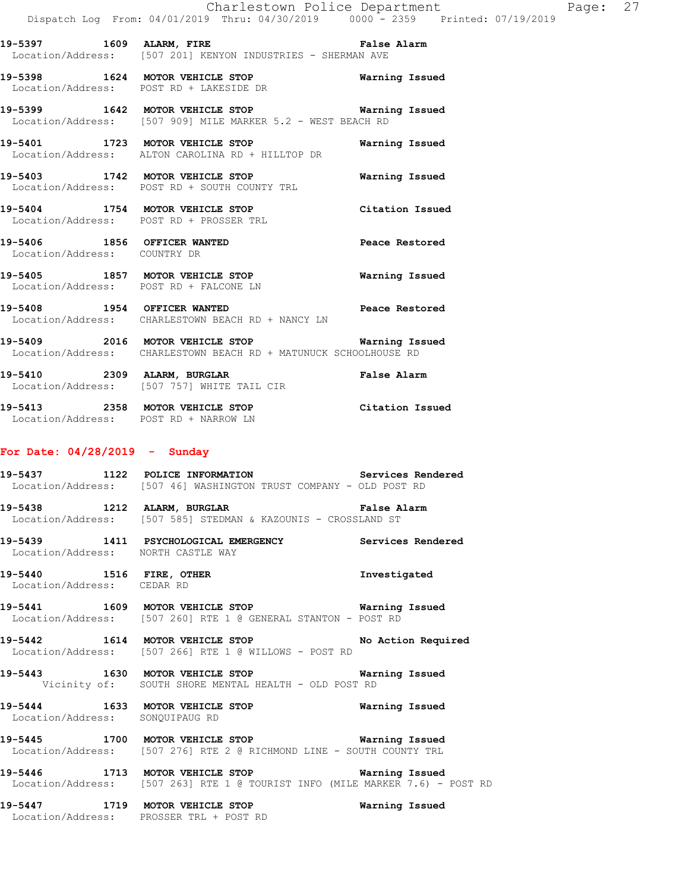**19-5397 1609 ALARM, FIRE False Alarm**  Location/Address: [507 201] KENYON INDUSTRIES - SHERMAN AVE

**19-5398 1624 MOTOR VEHICLE STOP Warning Issued**  Location/Address: POST RD + LAKESIDE DR

**19-5399 1642 MOTOR VEHICLE STOP Warning Issued**  Location/Address: [507 909] MILE MARKER 5.2 - WEST BEACH RD

**19-5401 1723 MOTOR VEHICLE STOP Warning Issued**  Location/Address: ALTON CAROLINA RD + HILLTOP DR

**19-5403 1742 MOTOR VEHICLE STOP Warning Issued**  Location/Address: POST RD + SOUTH COUNTY TRL

**19-5404 1754 MOTOR VEHICLE STOP Citation Issued**  Location/Address: POST RD + PROSSER TRL

**19-5406 1856 OFFICER WANTED Peace Restored**  Location/Address: COUNTRY DR

**19-5405 1857 MOTOR VEHICLE STOP Warning Issued**  Location/Address: POST RD + FALCONE LN

**19-5408 1954 OFFICER WANTED Peace Restored**  Location/Address: CHARLESTOWN BEACH RD + NANCY LN

**19-5409 2016 MOTOR VEHICLE STOP Warning Issued**  Location/Address: CHARLESTOWN BEACH RD + MATUNUCK SCHOOLHOUSE RD

**19-5410 2309 ALARM, BURGLAR False Alarm**  Location/Address: [507 757] WHITE TAIL CIR

**19-5413 2358 MOTOR VEHICLE STOP Citation Issued**  Location/Address: POST RD + NARROW LN

### **For Date: 04/28/2019 - Sunday**

**19-5437 1122 POLICE INFORMATION Services Rendered**  Location/Address: [507 46] WASHINGTON TRUST COMPANY - OLD POST RD

**19-5438 1212 ALARM, BURGLAR False Alarm**  Location/Address: [507 585] STEDMAN & KAZOUNIS - CROSSLAND ST

**19-5439 1411 PSYCHOLOGICAL EMERGENCY Services Rendered**  Location/Address: NORTH CASTLE WAY

**19-5440 1516 FIRE, OTHER Investigated**  Location/Address: CEDAR RD

**19-5441 1609 MOTOR VEHICLE STOP Warning Issued**  Location/Address: [507 260] RTE 1 @ GENERAL STANTON - POST RD

**19-5442 1614 MOTOR VEHICLE STOP No Action Required**  Location/Address: [507 266] RTE 1 @ WILLOWS - POST RD

**19-5443 1630 MOTOR VEHICLE STOP Warning Issued**  Vicinity of: SOUTH SHORE MENTAL HEALTH - OLD POST RD

**19-5444 1633 MOTOR VEHICLE STOP Warning Issued**  Location/Address: SONQUIPAUG RD

**19-5445 1700 MOTOR VEHICLE STOP Warning Issued**  Location/Address: [507 276] RTE 2 @ RICHMOND LINE - SOUTH COUNTY TRL

**19-5446 1713 MOTOR VEHICLE STOP Warning Issued**  Location/Address: [507 263] RTE 1 @ TOURIST INFO (MILE MARKER 7.6) - POST RD

**19-5447 1719 MOTOR VEHICLE STOP Warning Issued**  Location/Address: PROSSER TRL + POST RD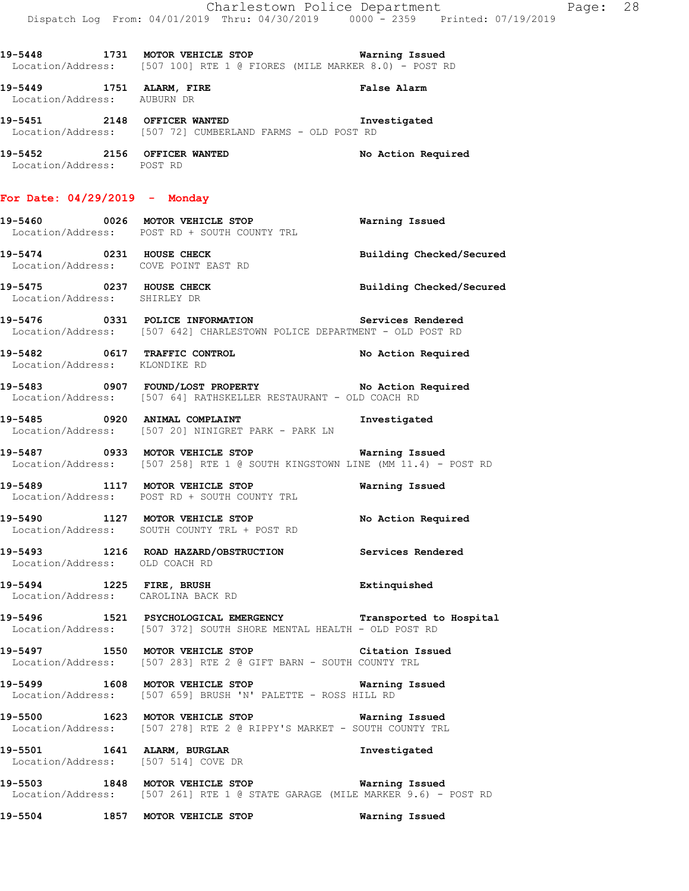| Location/Address: POST RD                               | 19-5448 1731 MOTOR VEHICLE STOP Warning Issued<br>Location/Address: [507 100] RTE 1 @ FIORES (MILE MARKER 8.0) - POST RD<br>19-5451 2148 OFFICER WANTED <b>STATE SERVITS</b> Investigated<br>Location/Address: [507 72] CUMBERLAND FARMS - OLD POST RD | Charlestown Police Department<br>Dispatch Log From: 04/01/2019 Thru: 04/30/2019 0000 - 2359 Printed: 07/19/2019<br>False Alarm<br><b>Warning Issued</b><br>Building Checked/Secured<br>Building Checked/Secured<br>No Action Required | Page: 28 |  |
|---------------------------------------------------------|--------------------------------------------------------------------------------------------------------------------------------------------------------------------------------------------------------------------------------------------------------|---------------------------------------------------------------------------------------------------------------------------------------------------------------------------------------------------------------------------------------|----------|--|
| 19-5449 1751 ALARM, FIRE<br>Location/Address: AUBURN DR |                                                                                                                                                                                                                                                        |                                                                                                                                                                                                                                       |          |  |
|                                                         |                                                                                                                                                                                                                                                        |                                                                                                                                                                                                                                       |          |  |
|                                                         | 19-5452 2156 OFFICER WANTED No Action Required                                                                                                                                                                                                         |                                                                                                                                                                                                                                       |          |  |
|                                                         | For Date: $04/29/2019$ - Monday                                                                                                                                                                                                                        |                                                                                                                                                                                                                                       |          |  |
|                                                         | 19-5460 0026 MOTOR VEHICLE STOP<br>Location/Address: POST RD + SOUTH COUNTY TRL                                                                                                                                                                        |                                                                                                                                                                                                                                       |          |  |
|                                                         | 19-5474 0231 HOUSE CHECK<br>Location/Address: COVE POINT EAST RD                                                                                                                                                                                       |                                                                                                                                                                                                                                       |          |  |
|                                                         | 19-5475 0237 HOUSE CHECK<br>Location/Address: SHIRLEY DR                                                                                                                                                                                               |                                                                                                                                                                                                                                       |          |  |
|                                                         | 19-5476  0331  POLICE INFORMATION  Services Rendered<br>Location/Address: [507 642] CHARLESTOWN POLICE DEPARTMENT - OLD POST RD                                                                                                                        |                                                                                                                                                                                                                                       |          |  |
|                                                         | 19-5482 0617 TRAFFIC CONTROL<br>Location/Address: KLONDIKE RD                                                                                                                                                                                          |                                                                                                                                                                                                                                       |          |  |
|                                                         | 19-5483    0907    FOUND/LOST PROPERTY     VNO Action Required<br>Location/Address: [507 64] RATHSKELLER RESTAURANT - OLD COACH RD                                                                                                                     |                                                                                                                                                                                                                                       |          |  |
|                                                         | 19-5485 0920 ANIMAL COMPLAINT<br>Location/Address: [507 20] NINIGRET PARK - PARK LN                                                                                                                                                                    | Investigated                                                                                                                                                                                                                          |          |  |
|                                                         | 19-5487 		 0933 MOTOR VEHICLE STOP 		 Warning Issued<br>Location/Address: [507 258] RTE 1 @ SOUTH KINGSTOWN LINE (MM 11.4) - POST RD                                                                                                                   |                                                                                                                                                                                                                                       |          |  |
|                                                         | 19-5489 1117 MOTOR VEHICLE STOP<br>Location/Address: POST RD + SOUTH COUNTY TRL                                                                                                                                                                        | Warning Issued                                                                                                                                                                                                                        |          |  |
|                                                         | 19-5490 1127 MOTOR VEHICLE STOP<br>Location/Address: SOUTH COUNTY TRL + POST RD                                                                                                                                                                        | No Action Required                                                                                                                                                                                                                    |          |  |
|                                                         | 19-5493 1216 ROAD HAZARD/OBSTRUCTION Services Rendered<br>Location/Address: OLD COACH RD                                                                                                                                                               |                                                                                                                                                                                                                                       |          |  |
|                                                         | 19-5494 1225 FIRE, BRUSH<br>Location/Address: CAROLINA BACK RD                                                                                                                                                                                         | Extinquished                                                                                                                                                                                                                          |          |  |
|                                                         | 19-5496 1521 PSYCHOLOGICAL EMERGENCY Transported to Hospital<br>Location/Address: [507 372] SOUTH SHORE MENTAL HEALTH - OLD POST RD                                                                                                                    |                                                                                                                                                                                                                                       |          |  |
|                                                         | 19-5497 1550 MOTOR VEHICLE STOP Citation Issued<br>Location/Address: [507 283] RTE 2 @ GIFT BARN - SOUTH COUNTY TRL                                                                                                                                    |                                                                                                                                                                                                                                       |          |  |
|                                                         | 19-5499 1608 MOTOR VEHICLE STOP 50 Warning Issued<br>Location/Address: [507 659] BRUSH 'N' PALETTE - ROSS HILL RD                                                                                                                                      |                                                                                                                                                                                                                                       |          |  |
|                                                         | 19-5500 1623 MOTOR VEHICLE STOP <b>WATER</b> Warning Issued<br>Location/Address: [507 278] RTE 2 @ RIPPY'S MARKET - SOUTH COUNTY TRL                                                                                                                   |                                                                                                                                                                                                                                       |          |  |
|                                                         | 19-5501 1641 ALARM, BURGLAR<br>Location/Address: [507 514] COVE DR                                                                                                                                                                                     | Investigated                                                                                                                                                                                                                          |          |  |
|                                                         | 19-5503 1848 MOTOR VEHICLE STOP 6 Warning Issued<br>Location/Address: [507 261] RTE 1 @ STATE GARAGE (MILE MARKER 9.6) - POST RD                                                                                                                       |                                                                                                                                                                                                                                       |          |  |
|                                                         | 19-5504 1857 MOTOR VEHICLE STOP <b>WATILLE STOP</b>                                                                                                                                                                                                    |                                                                                                                                                                                                                                       |          |  |